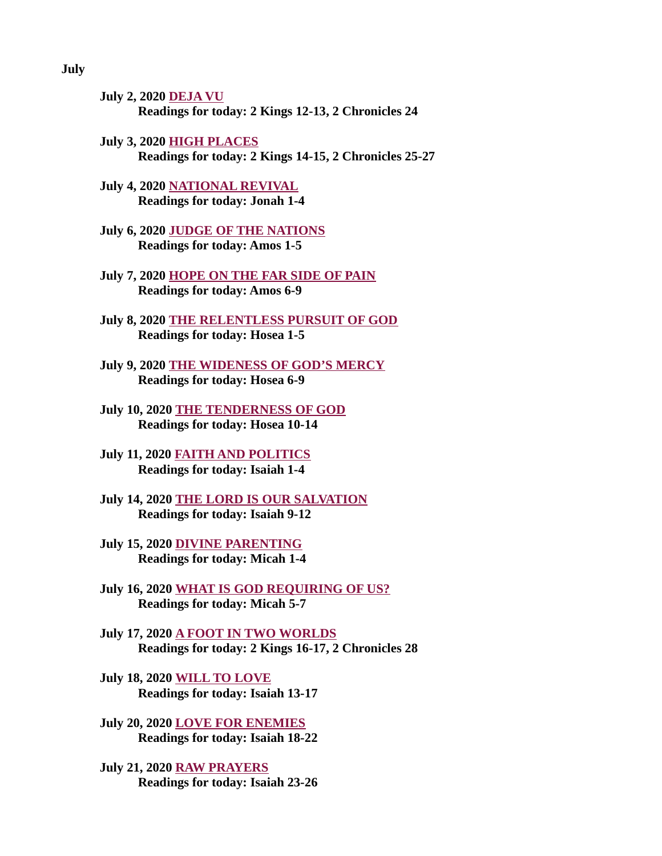July 2, 2020 DEJA VU [Readings for today: 2 Kings 12-13, 2 Chronicles 24](#page-2-0) 

- July 3, 2020 **HIGH PLACES** [Readings for today: 2 Kings 14-15, 2 Chronicles 25-27](#page-3-0)
- [July 4, 2020 NATIONAL REVIVAL](#page-5-0) Readings for today: Jonah 1-4
- [July 6, 2020 JUDGE OF THE NATIONS](#page-6-0) Readings for today: Amos 1-5
- [July 7, 2020 HOPE ON THE FAR SIDE OF PAIN](#page-8-0) Readings for today: Amos 6-9
- [July 8, 2020 THE RELENTLESS PURSUIT OF GOD](#page-9-0) Readings for today: Hosea 1-5
- [July 9, 2020 THE WIDENESS OF GOD'S MERCY](#page-11-0) Readings for today: Hosea 6-9
- [July 10, 2020 THE TENDERNESS OF GOD](#page-12-0) Readings for today: Hosea 10-14
- [July 11, 2020 FAITH AND POLITICS](#page-13-0) Readings for today: Isaiah 1-4
- [July 14, 2020 THE LORD IS OUR SALVATION](#page-15-0) Readings for today: Isaiah 9-12
- [July 15, 2020 DIVINE PARENTING](#page-17-0) Readings for today: Micah 1-4
- [July 16, 2020 WHAT IS GOD REQUIRING OF US?](#page-19-0) Readings for today: Micah 5-7
- July 17, 2020 A FOOT IN TWO WORLDS [Readings for today: 2 Kings 16-17, 2 Chronicles 28](#page-21-0)
- July 18, 2020 WILL TO LOVE [Readings for today: Isaiah 13-17](#page-23-0)

[July 20, 2020 LOVE FOR ENEMIES](#page-25-0) Readings for today: Isaiah 18-22

July 21, 2020 RAW PRAYERS [Readings for today: Isaiah 23-26](#page-27-0)

#### July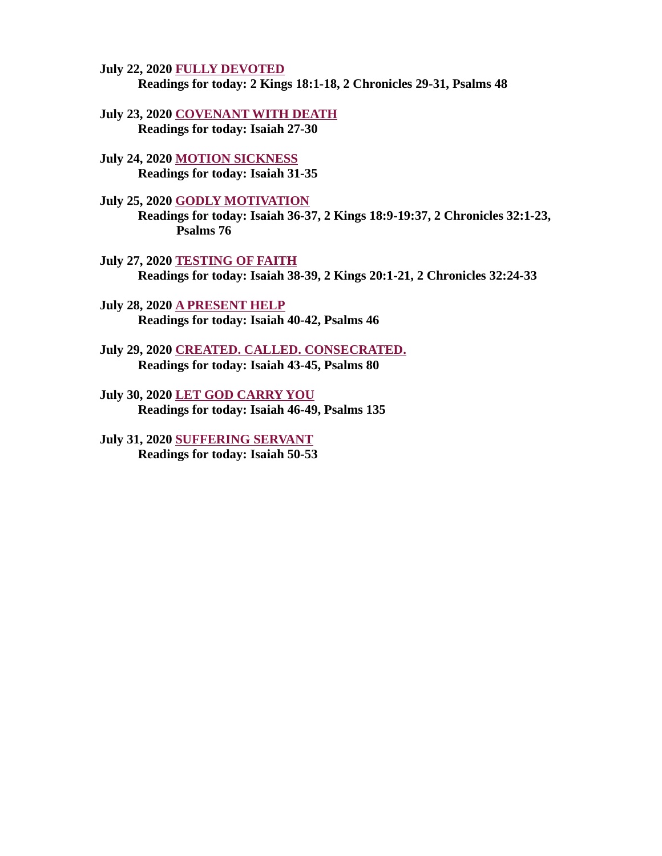July 22, 2020 FULLY DEVOTED [Readings for today: 2 Kings 18:1-18, 2 Chronicles 29-31, Psalms 48](#page-29-0)

[July 23, 2020 COVENANT WITH DEATH](#page-31-0) Readings for today: Isaiah 27-30

[July 24, 2020 MOTION SICKNESS](#page-32-0) Readings for today: Isaiah 31-35

July 25, 2020 GODLY MOTIVATION

[Readings for today: Isaiah 36-37, 2 Kings 18:9-19:37, 2 Chronicles 32:1-23,](#page-33-0)  Psalms 76

- July 27, 2020 TESTING OF FAITH [Readings for today: Isaiah 38-39, 2 Kings 20:1-21, 2 Chronicles 32:24-33](#page-35-0)
- July 28, 2020 A PRESENT HELP [Readings for today: Isaiah 40-42, Psalms 46](#page-37-0)
- [July 29, 2020 CREATED. CALLED. CONSECRATED.](#page-38-0) Readings for today: Isaiah 43-45, Psalms 80
- July 30, 2020 LET GOD CARRY YOU [Readings for today: Isaiah 46-49, Psalms 135](#page-39-0)
- [July 31, 2020 SUFFERING SERVANT](#page-40-0) Readings for today: Isaiah 50-53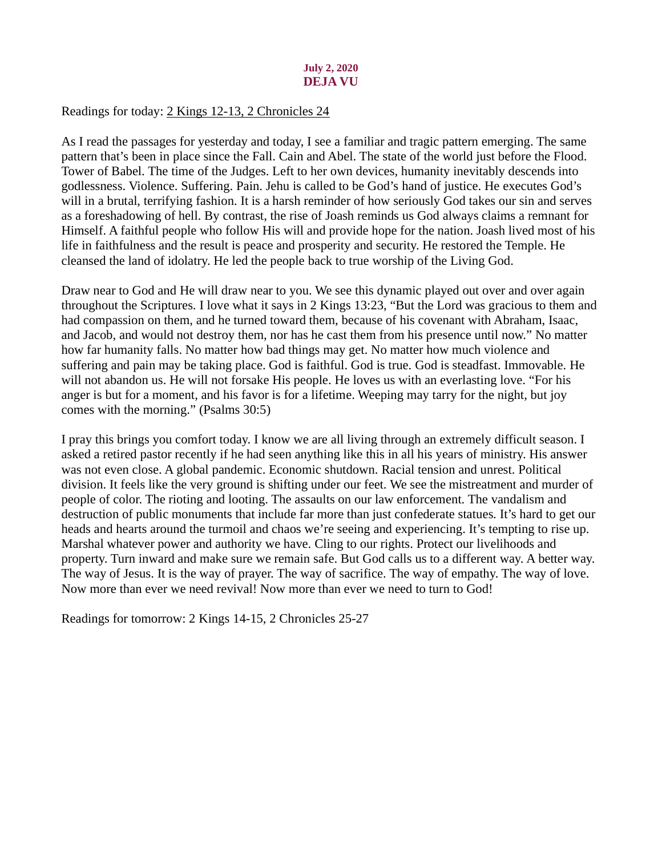## July 2, 2020 DEJA VU

# <span id="page-2-0"></span>[Readings for today: 2 Kings 12-13, 2 Chronicles 24](https://www.biblegateway.com/passage/?search=2+Kings+12-13%2C+2+Chronicles+24&version=ESV)

As I read the passages for yesterday and today, I see a familiar and tragic pattern emerging. The same pattern that's been in place since the Fall. Cain and Abel. The state of the world just before the Flood. Tower of Babel. The time of the Judges. Left to her own devices, humanity inevitably descends into godlessness. Violence. Suffering. Pain. Jehu is called to be God's hand of justice. He executes God's will in a brutal, terrifying fashion. It is a harsh reminder of how seriously God takes our sin and serves as a foreshadowing of hell. By contrast, the rise of Joash reminds us God always claims a remnant for Himself. A faithful people who follow His will and provide hope for the nation. Joash lived most of his life in faithfulness and the result is peace and prosperity and security. He restored the Temple. He cleansed the land of idolatry. He led the people back to true worship of the Living God.

Draw near to God and He will draw near to you. We see this dynamic played out over and over again throughout the Scriptures. I love what it says in 2 Kings 13:23, "But the Lord was gracious to them and had compassion on them, and he turned toward them, because of his covenant with Abraham, Isaac, and Jacob, and would not destroy them, nor has he cast them from his presence until now." No matter how far humanity falls. No matter how bad things may get. No matter how much violence and suffering and pain may be taking place. God is faithful. God is true. God is steadfast. Immovable. He will not abandon us. He will not forsake His people. He loves us with an everlasting love. "For his anger is but for a moment, and his favor is for a lifetime. Weeping may tarry for the night, but joy comes with the morning." (Psalms 30:5)

I pray this brings you comfort today. I know we are all living through an extremely difficult season. I asked a retired pastor recently if he had seen anything like this in all his years of ministry. His answer was not even close. A global pandemic. Economic shutdown. Racial tension and unrest. Political division. It feels like the very ground is shifting under our feet. We see the mistreatment and murder of people of color. The rioting and looting. The assaults on our law enforcement. The vandalism and destruction of public monuments that include far more than just confederate statues. It's hard to get our heads and hearts around the turmoil and chaos we're seeing and experiencing. It's tempting to rise up. Marshal whatever power and authority we have. Cling to our rights. Protect our livelihoods and property. Turn inward and make sure we remain safe. But God calls us to a different way. A better way. The way of Jesus. It is the way of prayer. The way of sacrifice. The way of empathy. The way of love. Now more than ever we need revival! Now more than ever we need to turn to God!

Readings for tomorrow: 2 Kings 14-15, 2 Chronicles 25-27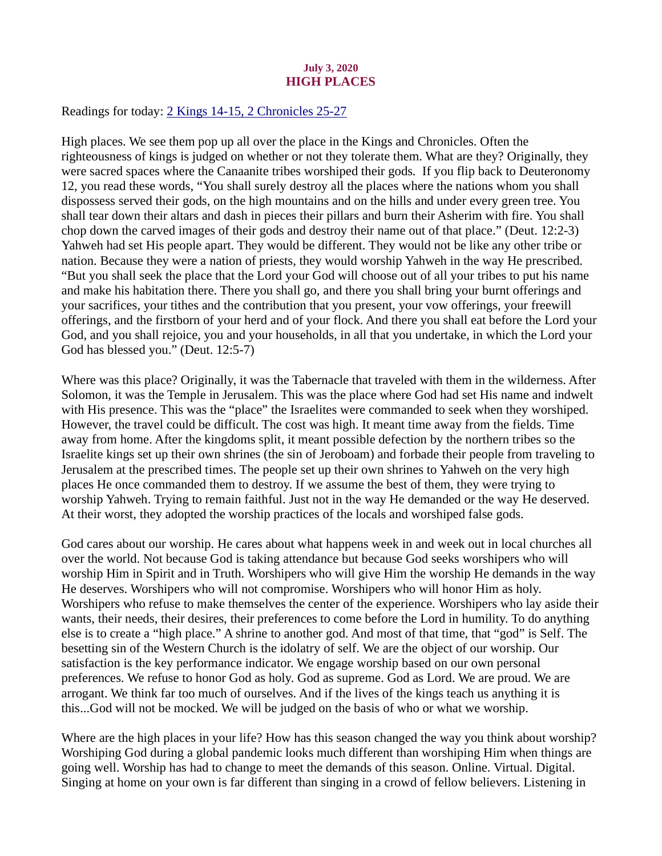## July 3, 2020 HIGH PLACES

<span id="page-3-0"></span>[Readings for today: 2 Kings 14-15, 2 Chronicles 25-27](https://www.biblegateway.com/passage/?search=2+Kings+14-15%2C+2+Chronicles+25-27&version=ESV)

High places. We see them pop up all over the place in the Kings and Chronicles. Often the righteousness of kings is judged on whether or not they tolerate them. What are they? Originally, they were sacred spaces where the Canaanite tribes worshiped their gods. If you flip back to Deuteronomy 12, you read these words, "You shall surely destroy all the places where the nations whom you shall dispossess served their gods, on the high mountains and on the hills and under every green tree. You shall tear down their altars and dash in pieces their pillars and burn their Asherim with fire. You shall chop down the carved images of their gods and destroy their name out of that place." (Deut. 12:2-3) Yahweh had set His people apart. They would be different. They would not be like any other tribe or nation. Because they were a nation of priests, they would worship Yahweh in the way He prescribed. "But you shall seek the place that the Lord your God will choose out of all your tribes to put his name and make his habitation there. There you shall go, and there you shall bring your burnt offerings and your sacrifices, your tithes and the contribution that you present, your vow offerings, your freewill offerings, and the firstborn of your herd and of your flock. And there you shall eat before the Lord your God, and you shall rejoice, you and your households, in all that you undertake, in which the Lord your God has blessed you." (Deut. 12:5-7)

Where was this place? Originally, it was the Tabernacle that traveled with them in the wilderness. After Solomon, it was the Temple in Jerusalem. This was the place where God had set His name and indwelt with His presence. This was the "place" the Israelites were commanded to seek when they worshiped. However, the travel could be difficult. The cost was high. It meant time away from the fields. Time away from home. After the kingdoms split, it meant possible defection by the northern tribes so the Israelite kings set up their own shrines (the sin of Jeroboam) and forbade their people from traveling to Jerusalem at the prescribed times. The people set up their own shrines to Yahweh on the very high places He once commanded them to destroy. If we assume the best of them, they were trying to worship Yahweh. Trying to remain faithful. Just not in the way He demanded or the way He deserved. At their worst, they adopted the worship practices of the locals and worshiped false gods.

God cares about our worship. He cares about what happens week in and week out in local churches all over the world. Not because God is taking attendance but because God seeks worshipers who will worship Him in Spirit and in Truth. Worshipers who will give Him the worship He demands in the way He deserves. Worshipers who will not compromise. Worshipers who will honor Him as holy. Worshipers who refuse to make themselves the center of the experience. Worshipers who lay aside their wants, their needs, their desires, their preferences to come before the Lord in humility. To do anything else is to create a "high place." A shrine to another god. And most of that time, that "god" is Self. The besetting sin of the Western Church is the idolatry of self. We are the object of our worship. Our satisfaction is the key performance indicator. We engage worship based on our own personal preferences. We refuse to honor God as holy. God as supreme. God as Lord. We are proud. We are arrogant. We think far too much of ourselves. And if the lives of the kings teach us anything it is this...God will not be mocked. We will be judged on the basis of who or what we worship.

Where are the high places in your life? How has this season changed the way you think about worship? Worshiping God during a global pandemic looks much different than worshiping Him when things are going well. Worship has had to change to meet the demands of this season. Online. Virtual. Digital. Singing at home on your own is far different than singing in a crowd of fellow believers. Listening in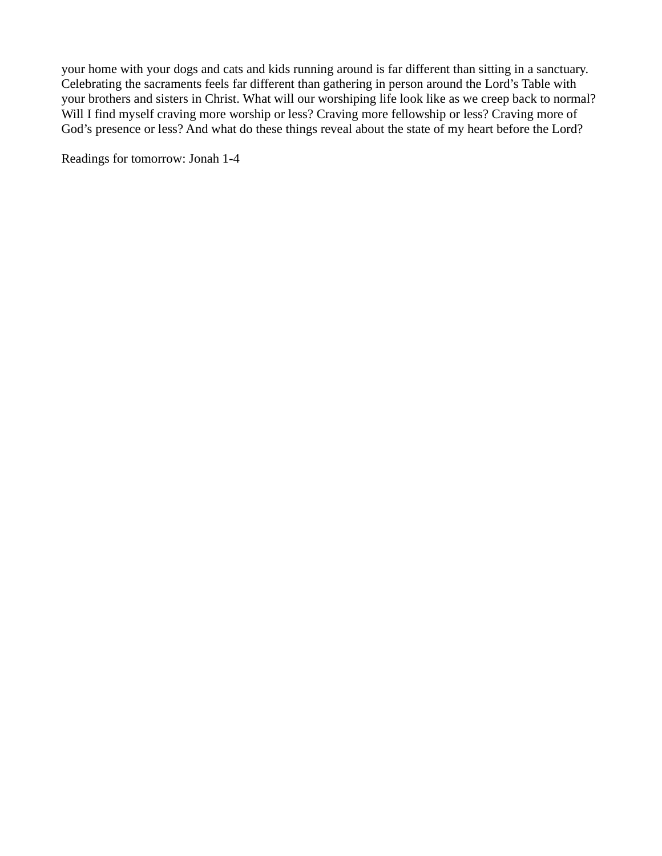your home with your dogs and cats and kids running around is far different than sitting in a sanctuary. Celebrating the sacraments feels far different than gathering in person around the Lord's Table with your brothers and sisters in Christ. What will our worshiping life look like as we creep back to normal? Will I find myself craving more worship or less? Craving more fellowship or less? Craving more of God's presence or less? And what do these things reveal about the state of my heart before the Lord?

Readings for tomorrow: Jonah 1-4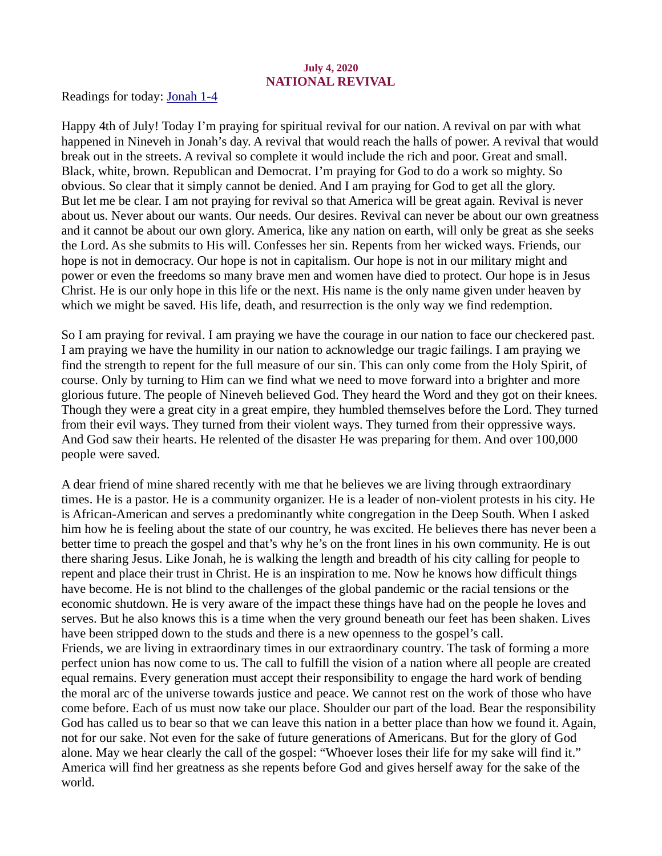## July 4, 2020 NATIONAL REVIVAL

<span id="page-5-0"></span>[Readings for today: Jonah 1-4](https://www.biblegateway.com/passage/?search=Jonah+1-4&version=ESV)

Happy 4th of July! Today I'm praying for spiritual revival for our nation. A revival on par with what happened in Nineveh in Jonah's day. A revival that would reach the halls of power. A revival that would break out in the streets. A revival so complete it would include the rich and poor. Great and small. Black, white, brown. Republican and Democrat. I'm praying for God to do a work so mighty. So obvious. So clear that it simply cannot be denied. And I am praying for God to get all the glory. But let me be clear. I am not praying for revival so that America will be great again. Revival is never about us. Never about our wants. Our needs. Our desires. Revival can never be about our own greatness and it cannot be about our own glory. America, like any nation on earth, will only be great as she seeks the Lord. As she submits to His will. Confesses her sin. Repents from her wicked ways. Friends, our hope is not in democracy. Our hope is not in capitalism. Our hope is not in our military might and power or even the freedoms so many brave men and women have died to protect. Our hope is in Jesus Christ. He is our only hope in this life or the next. His name is the only name given under heaven by which we might be saved. His life, death, and resurrection is the only way we find redemption.

So I am praying for revival. I am praying we have the courage in our nation to face our checkered past. I am praying we have the humility in our nation to acknowledge our tragic failings. I am praying we find the strength to repent for the full measure of our sin. This can only come from the Holy Spirit, of course. Only by turning to Him can we find what we need to move forward into a brighter and more glorious future. The people of Nineveh believed God. They heard the Word and they got on their knees. Though they were a great city in a great empire, they humbled themselves before the Lord. They turned from their evil ways. They turned from their violent ways. They turned from their oppressive ways. And God saw their hearts. He relented of the disaster He was preparing for them. And over 100,000 people were saved.

A dear friend of mine shared recently with me that he believes we are living through extraordinary times. He is a pastor. He is a community organizer. He is a leader of non-violent protests in his city. He is African-American and serves a predominantly white congregation in the Deep South. When I asked him how he is feeling about the state of our country, he was excited. He believes there has never been a better time to preach the gospel and that's why he's on the front lines in his own community. He is out there sharing Jesus. Like Jonah, he is walking the length and breadth of his city calling for people to repent and place their trust in Christ. He is an inspiration to me. Now he knows how difficult things have become. He is not blind to the challenges of the global pandemic or the racial tensions or the economic shutdown. He is very aware of the impact these things have had on the people he loves and serves. But he also knows this is a time when the very ground beneath our feet has been shaken. Lives have been stripped down to the studs and there is a new openness to the gospel's call. Friends, we are living in extraordinary times in our extraordinary country. The task of forming a more perfect union has now come to us. The call to fulfill the vision of a nation where all people are created equal remains. Every generation must accept their responsibility to engage the hard work of bending the moral arc of the universe towards justice and peace. We cannot rest on the work of those who have come before. Each of us must now take our place. Shoulder our part of the load. Bear the responsibility God has called us to bear so that we can leave this nation in a better place than how we found it. Again, not for our sake. Not even for the sake of future generations of Americans. But for the glory of God alone. May we hear clearly the call of the gospel: "Whoever loses their life for my sake will find it." America will find her greatness as she repents before God and gives herself away for the sake of the world.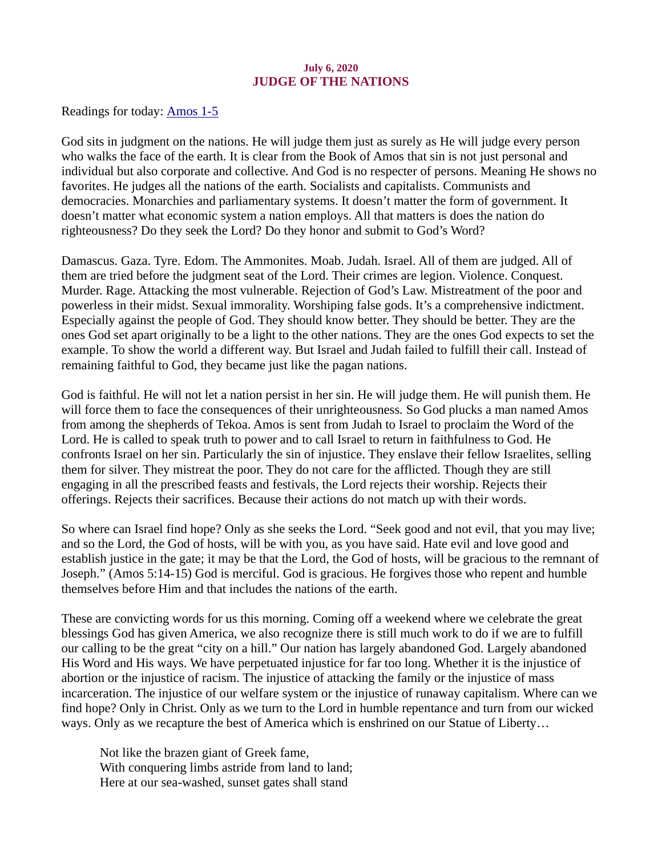### July 6, 2020 JUDGE OF THE NATIONS

<span id="page-6-0"></span>[Readings for today: Amos 1-5](https://www.biblegateway.com/passage/?search=Amos+1-5&version=ESV)

God sits in judgment on the nations. He will judge them just as surely as He will judge every person who walks the face of the earth. It is clear from the Book of Amos that sin is not just personal and individual but also corporate and collective. And God is no respecter of persons. Meaning He shows no favorites. He judges all the nations of the earth. Socialists and capitalists. Communists and democracies. Monarchies and parliamentary systems. It doesn't matter the form of government. It doesn't matter what economic system a nation employs. All that matters is does the nation do righteousness? Do they seek the Lord? Do they honor and submit to God's Word?

Damascus. Gaza. Tyre. Edom. The Ammonites. Moab. Judah. Israel. All of them are judged. All of them are tried before the judgment seat of the Lord. Their crimes are legion. Violence. Conquest. Murder. Rage. Attacking the most vulnerable. Rejection of God's Law. Mistreatment of the poor and powerless in their midst. Sexual immorality. Worshiping false gods. It's a comprehensive indictment. Especially against the people of God. They should know better. They should be better. They are the ones God set apart originally to be a light to the other nations. They are the ones God expects to set the example. To show the world a different way. But Israel and Judah failed to fulfill their call. Instead of remaining faithful to God, they became just like the pagan nations.

God is faithful. He will not let a nation persist in her sin. He will judge them. He will punish them. He will force them to face the consequences of their unrighteousness. So God plucks a man named Amos from among the shepherds of Tekoa. Amos is sent from Judah to Israel to proclaim the Word of the Lord. He is called to speak truth to power and to call Israel to return in faithfulness to God. He confronts Israel on her sin. Particularly the sin of injustice. They enslave their fellow Israelites, selling them for silver. They mistreat the poor. They do not care for the afflicted. Though they are still engaging in all the prescribed feasts and festivals, the Lord rejects their worship. Rejects their offerings. Rejects their sacrifices. Because their actions do not match up with their words.

So where can Israel find hope? Only as she seeks the Lord. "Seek good and not evil, that you may live; and so the Lord, the God of hosts, will be with you, as you have said. Hate evil and love good and establish justice in the gate; it may be that the Lord, the God of hosts, will be gracious to the remnant of Joseph." (Amos 5:14-15) God is merciful. God is gracious. He forgives those who repent and humble themselves before Him and that includes the nations of the earth.

These are convicting words for us this morning. Coming off a weekend where we celebrate the great blessings God has given America, we also recognize there is still much work to do if we are to fulfill our calling to be the great "city on a hill." Our nation has largely abandoned God. Largely abandoned His Word and His ways. We have perpetuated injustice for far too long. Whether it is the injustice of abortion or the injustice of racism. The injustice of attacking the family or the injustice of mass incarceration. The injustice of our welfare system or the injustice of runaway capitalism. Where can we find hope? Only in Christ. Only as we turn to the Lord in humble repentance and turn from our wicked ways. Only as we recapture the best of America which is enshrined on our Statue of Liberty…

Not like the brazen giant of Greek fame, With conquering limbs astride from land to land; Here at our sea-washed, sunset gates shall stand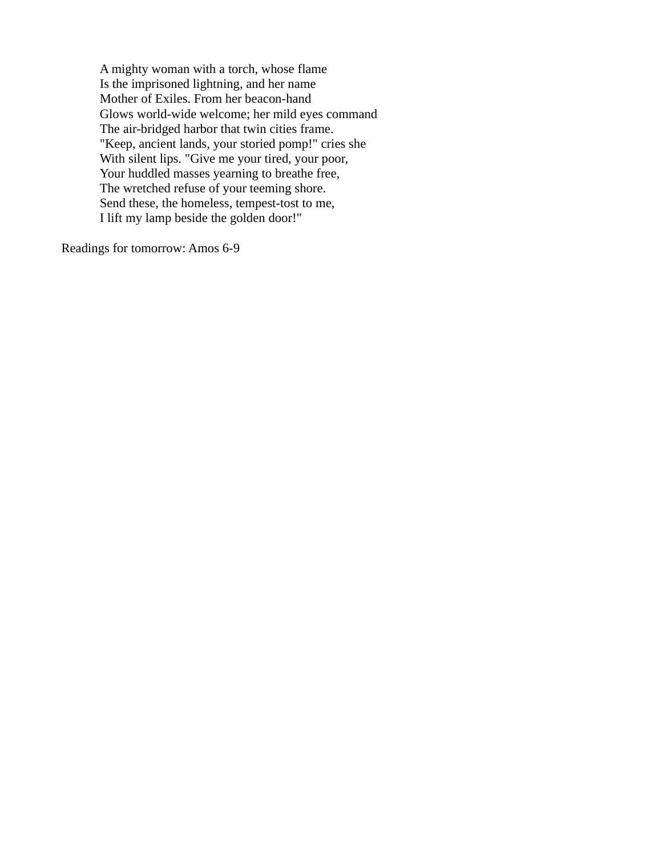A mighty woman with a torch, whose flame Is the imprisoned lightning, and her name Mother of Exiles. From her beacon-hand Glows world-wide welcome; her mild eyes command The air-bridged harbor that twin cities frame. "Keep, ancient lands, your storied pomp!" cries she With silent lips. "Give me your tired, your poor, Your huddled masses yearning to breathe free, The wretched refuse of your teeming shore. Send these, the homeless, tempest-tost to me, I lift my lamp beside the golden door!"

Readings for tomorrow: Amos 6-9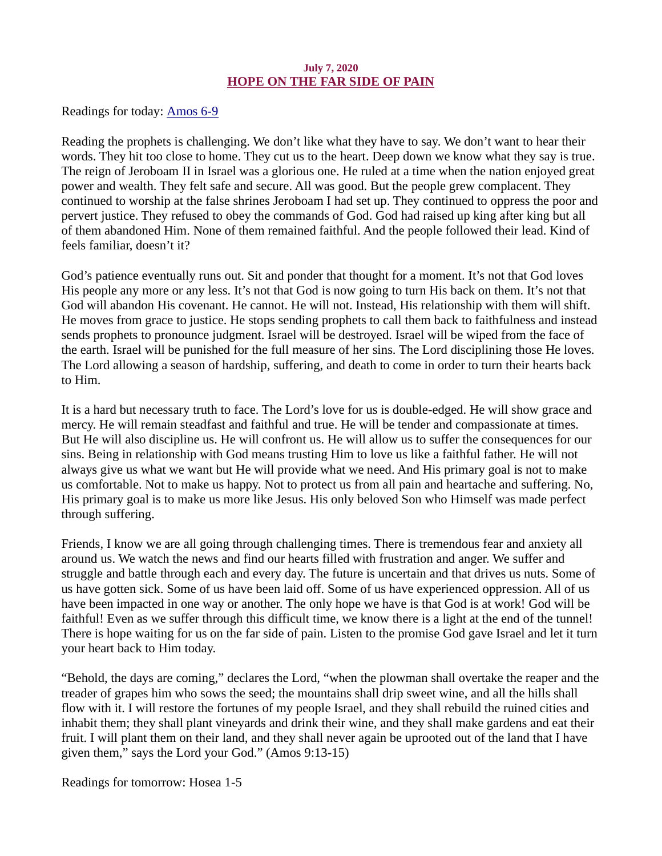## July 7, 2020 HOPE ON THE FAR SIDE OF PAIN

<span id="page-8-0"></span>[Readings for today: Amos 6-9](https://www.biblegateway.com/passage/?search=Amos+6-9&version=ESV)

Reading the prophets is challenging. We don't like what they have to say. We don't want to hear their words. They hit too close to home. They cut us to the heart. Deep down we know what they say is true. The reign of Jeroboam II in Israel was a glorious one. He ruled at a time when the nation enjoyed great power and wealth. They felt safe and secure. All was good. But the people grew complacent. They continued to worship at the false shrines Jeroboam I had set up. They continued to oppress the poor and pervert justice. They refused to obey the commands of God. God had raised up king after king but all of them abandoned Him. None of them remained faithful. And the people followed their lead. Kind of feels familiar, doesn't it?

God's patience eventually runs out. Sit and ponder that thought for a moment. It's not that God loves His people any more or any less. It's not that God is now going to turn His back on them. It's not that God will abandon His covenant. He cannot. He will not. Instead, His relationship with them will shift. He moves from grace to justice. He stops sending prophets to call them back to faithfulness and instead sends prophets to pronounce judgment. Israel will be destroyed. Israel will be wiped from the face of the earth. Israel will be punished for the full measure of her sins. The Lord disciplining those He loves. The Lord allowing a season of hardship, suffering, and death to come in order to turn their hearts back to Him.

It is a hard but necessary truth to face. The Lord's love for us is double-edged. He will show grace and mercy. He will remain steadfast and faithful and true. He will be tender and compassionate at times. But He will also discipline us. He will confront us. He will allow us to suffer the consequences for our sins. Being in relationship with God means trusting Him to love us like a faithful father. He will not always give us what we want but He will provide what we need. And His primary goal is not to make us comfortable. Not to make us happy. Not to protect us from all pain and heartache and suffering. No, His primary goal is to make us more like Jesus. His only beloved Son who Himself was made perfect through suffering.

Friends, I know we are all going through challenging times. There is tremendous fear and anxiety all around us. We watch the news and find our hearts filled with frustration and anger. We suffer and struggle and battle through each and every day. The future is uncertain and that drives us nuts. Some of us have gotten sick. Some of us have been laid off. Some of us have experienced oppression. All of us have been impacted in one way or another. The only hope we have is that God is at work! God will be faithful! Even as we suffer through this difficult time, we know there is a light at the end of the tunnel! There is hope waiting for us on the far side of pain. Listen to the promise God gave Israel and let it turn your heart back to Him today.

"Behold, the days are coming," declares the Lord, "when the plowman shall overtake the reaper and the treader of grapes him who sows the seed; the mountains shall drip sweet wine, and all the hills shall flow with it. I will restore the fortunes of my people Israel, and they shall rebuild the ruined cities and inhabit them; they shall plant vineyards and drink their wine, and they shall make gardens and eat their fruit. I will plant them on their land, and they shall never again be uprooted out of the land that I have given them," says the Lord your God." (Amos 9:13-15)

Readings for tomorrow: Hosea 1-5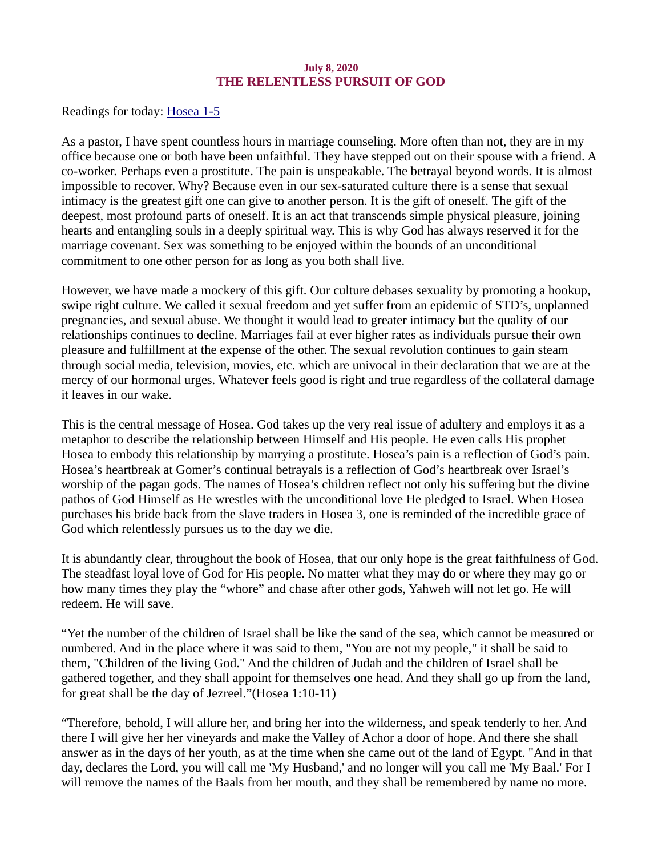### July 8, 2020 THE RELENTLESS PURSUIT OF GOD

<span id="page-9-0"></span>Readings for today: **Hosea 1-5** 

As a pastor, I have spent countless hours in marriage counseling. More often than not, they are in my office because one or both have been unfaithful. They have stepped out on their spouse with a friend. A co-worker. Perhaps even a prostitute. The pain is unspeakable. The betrayal beyond words. It is almost impossible to recover. Why? Because even in our sex-saturated culture there is a sense that sexual intimacy is the greatest gift one can give to another person. It is the gift of oneself. The gift of the deepest, most profound parts of oneself. It is an act that transcends simple physical pleasure, joining hearts and entangling souls in a deeply spiritual way. This is why God has always reserved it for the marriage covenant. Sex was something to be enjoyed within the bounds of an unconditional commitment to one other person for as long as you both shall live.

However, we have made a mockery of this gift. Our culture debases sexuality by promoting a hookup, swipe right culture. We called it sexual freedom and yet suffer from an epidemic of STD's, unplanned pregnancies, and sexual abuse. We thought it would lead to greater intimacy but the quality of our relationships continues to decline. Marriages fail at ever higher rates as individuals pursue their own pleasure and fulfillment at the expense of the other. The sexual revolution continues to gain steam through social media, television, movies, etc. which are univocal in their declaration that we are at the mercy of our hormonal urges. Whatever feels good is right and true regardless of the collateral damage it leaves in our wake.

This is the central message of Hosea. God takes up the very real issue of adultery and employs it as a metaphor to describe the relationship between Himself and His people. He even calls His prophet Hosea to embody this relationship by marrying a prostitute. Hosea's pain is a reflection of God's pain. Hosea's heartbreak at Gomer's continual betrayals is a reflection of God's heartbreak over Israel's worship of the pagan gods. The names of Hosea's children reflect not only his suffering but the divine pathos of God Himself as He wrestles with the unconditional love He pledged to Israel. When Hosea purchases his bride back from the slave traders in Hosea 3, one is reminded of the incredible grace of God which relentlessly pursues us to the day we die.

It is abundantly clear, throughout the book of Hosea, that our only hope is the great faithfulness of God. The steadfast loyal love of God for His people. No matter what they may do or where they may go or how many times they play the "whore" and chase after other gods, Yahweh will not let go. He will redeem. He will save.

"Yet the number of the children of Israel shall be like the sand of the sea, which cannot be measured or numbered. And in the place where it was said to them, "You are not my people," it shall be said to them, "Children of the living God." And the children of Judah and the children of Israel shall be gathered together, and they shall appoint for themselves one head. And they shall go up from the land, for great shall be the day of Jezreel."(Hosea 1:10-11)

"Therefore, behold, I will allure her, and bring her into the wilderness, and speak tenderly to her. And there I will give her her vineyards and make the Valley of Achor a door of hope. And there she shall answer as in the days of her youth, as at the time when she came out of the land of Egypt. "And in that day, declares the Lord, you will call me 'My Husband,' and no longer will you call me 'My Baal.' For I will remove the names of the Baals from her mouth, and they shall be remembered by name no more.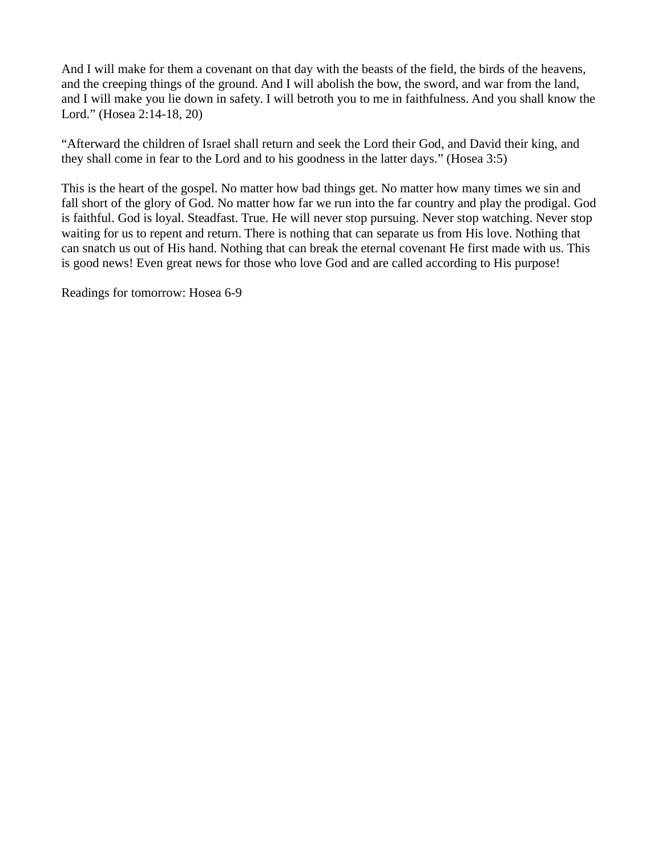And I will make for them a covenant on that day with the beasts of the field, the birds of the heavens, and the creeping things of the ground. And I will abolish the bow, the sword, and war from the land, and I will make you lie down in safety. I will betroth you to me in faithfulness. And you shall know the Lord." (Hosea 2:14-18, 20)

"Afterward the children of Israel shall return and seek the Lord their God, and David their king, and they shall come in fear to the Lord and to his goodness in the latter days." (Hosea 3:5)

This is the heart of the gospel. No matter how bad things get. No matter how many times we sin and fall short of the glory of God. No matter how far we run into the far country and play the prodigal. God is faithful. God is loyal. Steadfast. True. He will never stop pursuing. Never stop watching. Never stop waiting for us to repent and return. There is nothing that can separate us from His love. Nothing that can snatch us out of His hand. Nothing that can break the eternal covenant He first made with us. This is good news! Even great news for those who love God and are called according to His purpose!

Readings for tomorrow: Hosea 6-9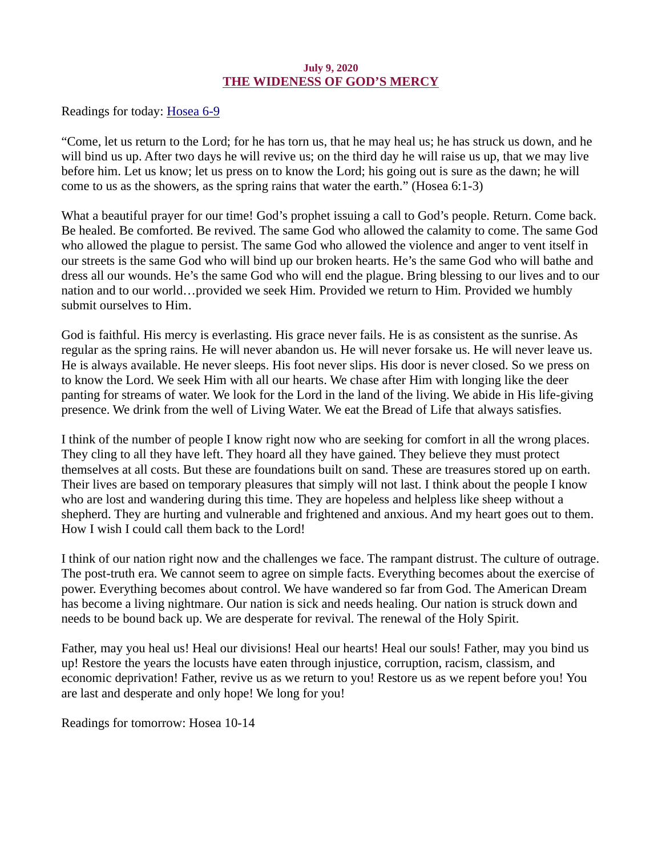#### July 9, 2020 THE WIDENESS OF GOD'S MERCY

<span id="page-11-0"></span>Readings for today: **Hosea 6-9** 

"Come, let us return to the Lord; for he has torn us, that he may heal us; he has struck us down, and he will bind us up. After two days he will revive us; on the third day he will raise us up, that we may live before him. Let us know; let us press on to know the Lord; his going out is sure as the dawn; he will come to us as the showers, as the spring rains that water the earth." (Hosea 6:1-3)

What a beautiful prayer for our time! God's prophet issuing a call to God's people. Return. Come back. Be healed. Be comforted. Be revived. The same God who allowed the calamity to come. The same God who allowed the plague to persist. The same God who allowed the violence and anger to vent itself in our streets is the same God who will bind up our broken hearts. He's the same God who will bathe and dress all our wounds. He's the same God who will end the plague. Bring blessing to our lives and to our nation and to our world…provided we seek Him. Provided we return to Him. Provided we humbly submit ourselves to Him.

God is faithful. His mercy is everlasting. His grace never fails. He is as consistent as the sunrise. As regular as the spring rains. He will never abandon us. He will never forsake us. He will never leave us. He is always available. He never sleeps. His foot never slips. His door is never closed. So we press on to know the Lord. We seek Him with all our hearts. We chase after Him with longing like the deer panting for streams of water. We look for the Lord in the land of the living. We abide in His life-giving presence. We drink from the well of Living Water. We eat the Bread of Life that always satisfies.

I think of the number of people I know right now who are seeking for comfort in all the wrong places. They cling to all they have left. They hoard all they have gained. They believe they must protect themselves at all costs. But these are foundations built on sand. These are treasures stored up on earth. Their lives are based on temporary pleasures that simply will not last. I think about the people I know who are lost and wandering during this time. They are hopeless and helpless like sheep without a shepherd. They are hurting and vulnerable and frightened and anxious. And my heart goes out to them. How I wish I could call them back to the Lord!

I think of our nation right now and the challenges we face. The rampant distrust. The culture of outrage. The post-truth era. We cannot seem to agree on simple facts. Everything becomes about the exercise of power. Everything becomes about control. We have wandered so far from God. The American Dream has become a living nightmare. Our nation is sick and needs healing. Our nation is struck down and needs to be bound back up. We are desperate for revival. The renewal of the Holy Spirit.

Father, may you heal us! Heal our divisions! Heal our hearts! Heal our souls! Father, may you bind us up! Restore the years the locusts have eaten through injustice, corruption, racism, classism, and economic deprivation! Father, revive us as we return to you! Restore us as we repent before you! You are last and desperate and only hope! We long for you!

Readings for tomorrow: Hosea 10-14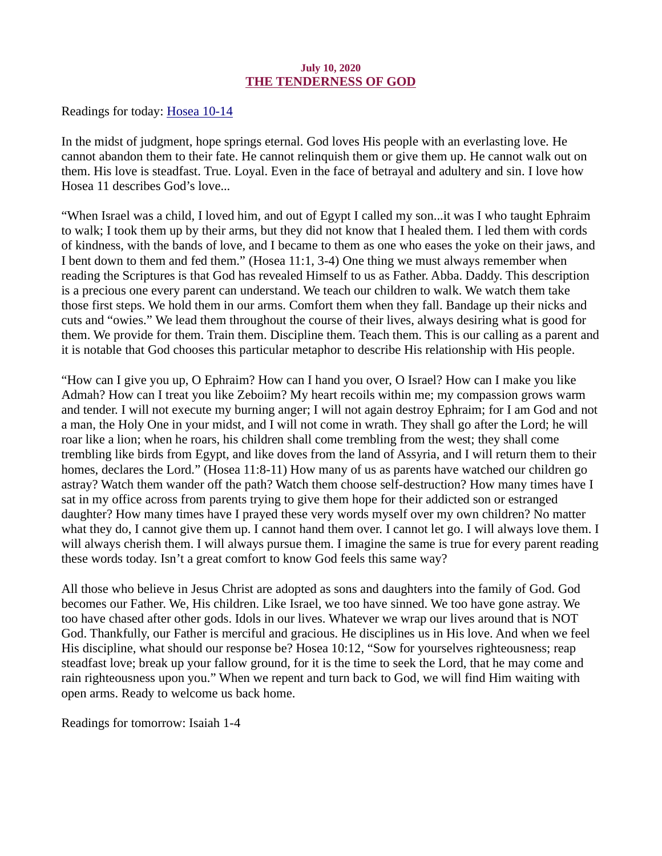## July 10, 2020 THE TENDERNESS OF GOD

<span id="page-12-0"></span>Readings for today: **Hosea 10-14** 

In the midst of judgment, hope springs eternal. God loves His people with an everlasting love. He cannot abandon them to their fate. He cannot relinquish them or give them up. He cannot walk out on them. His love is steadfast. True. Loyal. Even in the face of betrayal and adultery and sin. I love how Hosea 11 describes God's love...

"When Israel was a child, I loved him, and out of Egypt I called my son...it was I who taught Ephraim to walk; I took them up by their arms, but they did not know that I healed them. I led them with cords of kindness, with the bands of love, and I became to them as one who eases the yoke on their jaws, and I bent down to them and fed them." (Hosea 11:1, 3-4) One thing we must always remember when reading the Scriptures is that God has revealed Himself to us as Father. Abba. Daddy. This description is a precious one every parent can understand. We teach our children to walk. We watch them take those first steps. We hold them in our arms. Comfort them when they fall. Bandage up their nicks and cuts and "owies." We lead them throughout the course of their lives, always desiring what is good for them. We provide for them. Train them. Discipline them. Teach them. This is our calling as a parent and it is notable that God chooses this particular metaphor to describe His relationship with His people.

"How can I give you up, O Ephraim? How can I hand you over, O Israel? How can I make you like Admah? How can I treat you like Zeboiim? My heart recoils within me; my compassion grows warm and tender. I will not execute my burning anger; I will not again destroy Ephraim; for I am God and not a man, the Holy One in your midst, and I will not come in wrath. They shall go after the Lord; he will roar like a lion; when he roars, his children shall come trembling from the west; they shall come trembling like birds from Egypt, and like doves from the land of Assyria, and I will return them to their homes, declares the Lord." (Hosea 11:8-11) How many of us as parents have watched our children go astray? Watch them wander off the path? Watch them choose self-destruction? How many times have I sat in my office across from parents trying to give them hope for their addicted son or estranged daughter? How many times have I prayed these very words myself over my own children? No matter what they do, I cannot give them up. I cannot hand them over. I cannot let go. I will always love them. I will always cherish them. I will always pursue them. I imagine the same is true for every parent reading these words today. Isn't a great comfort to know God feels this same way?

All those who believe in Jesus Christ are adopted as sons and daughters into the family of God. God becomes our Father. We, His children. Like Israel, we too have sinned. We too have gone astray. We too have chased after other gods. Idols in our lives. Whatever we wrap our lives around that is NOT God. Thankfully, our Father is merciful and gracious. He disciplines us in His love. And when we feel His discipline, what should our response be? Hosea 10:12, "Sow for yourselves righteousness; reap steadfast love; break up your fallow ground, for it is the time to seek the Lord, that he may come and rain righteousness upon you." When we repent and turn back to God, we will find Him waiting with open arms. Ready to welcome us back home.

Readings for tomorrow: Isaiah 1-4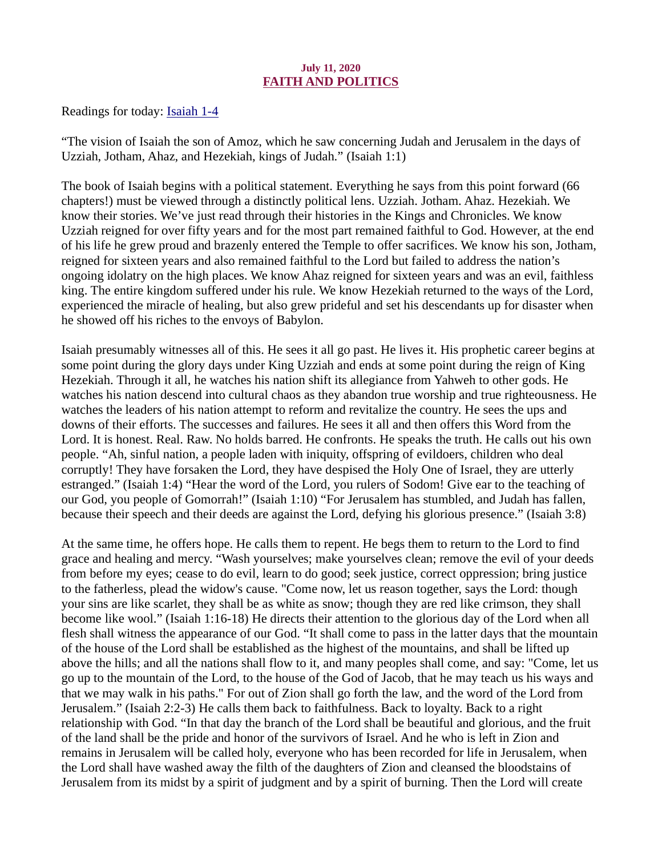## July 11, 2020 FAITH AND POLITICS

<span id="page-13-0"></span>[Readings for today: Isaiah 1-4](https://www.biblegateway.com/passage/?search=Isaiah+1-4&version=ESV)

"The vision of Isaiah the son of Amoz, which he saw concerning Judah and Jerusalem in the days of Uzziah, Jotham, Ahaz, and Hezekiah, kings of Judah." (Isaiah 1:1)

The book of Isaiah begins with a political statement. Everything he says from this point forward (66 chapters!) must be viewed through a distinctly political lens. Uzziah. Jotham. Ahaz. Hezekiah. We know their stories. We've just read through their histories in the Kings and Chronicles. We know Uzziah reigned for over fifty years and for the most part remained faithful to God. However, at the end of his life he grew proud and brazenly entered the Temple to offer sacrifices. We know his son, Jotham, reigned for sixteen years and also remained faithful to the Lord but failed to address the nation's ongoing idolatry on the high places. We know Ahaz reigned for sixteen years and was an evil, faithless king. The entire kingdom suffered under his rule. We know Hezekiah returned to the ways of the Lord, experienced the miracle of healing, but also grew prideful and set his descendants up for disaster when he showed off his riches to the envoys of Babylon.

Isaiah presumably witnesses all of this. He sees it all go past. He lives it. His prophetic career begins at some point during the glory days under King Uzziah and ends at some point during the reign of King Hezekiah. Through it all, he watches his nation shift its allegiance from Yahweh to other gods. He watches his nation descend into cultural chaos as they abandon true worship and true righteousness. He watches the leaders of his nation attempt to reform and revitalize the country. He sees the ups and downs of their efforts. The successes and failures. He sees it all and then offers this Word from the Lord. It is honest. Real. Raw. No holds barred. He confronts. He speaks the truth. He calls out his own people. "Ah, sinful nation, a people laden with iniquity, offspring of evildoers, children who deal corruptly! They have forsaken the Lord, they have despised the Holy One of Israel, they are utterly estranged." (Isaiah 1:4) "Hear the word of the Lord, you rulers of Sodom! Give ear to the teaching of our God, you people of Gomorrah!" (Isaiah 1:10) "For Jerusalem has stumbled, and Judah has fallen, because their speech and their deeds are against the Lord, defying his glorious presence." (Isaiah 3:8)

At the same time, he offers hope. He calls them to repent. He begs them to return to the Lord to find grace and healing and mercy. "Wash yourselves; make yourselves clean; remove the evil of your deeds from before my eyes; cease to do evil, learn to do good; seek justice, correct oppression; bring justice to the fatherless, plead the widow's cause. "Come now, let us reason together, says the Lord: though your sins are like scarlet, they shall be as white as snow; though they are red like crimson, they shall become like wool." (Isaiah 1:16-18) He directs their attention to the glorious day of the Lord when all flesh shall witness the appearance of our God. "It shall come to pass in the latter days that the mountain of the house of the Lord shall be established as the highest of the mountains, and shall be lifted up above the hills; and all the nations shall flow to it, and many peoples shall come, and say: "Come, let us go up to the mountain of the Lord, to the house of the God of Jacob, that he may teach us his ways and that we may walk in his paths." For out of Zion shall go forth the law, and the word of the Lord from Jerusalem." (Isaiah 2:2-3) He calls them back to faithfulness. Back to loyalty. Back to a right relationship with God. "In that day the branch of the Lord shall be beautiful and glorious, and the fruit of the land shall be the pride and honor of the survivors of Israel. And he who is left in Zion and remains in Jerusalem will be called holy, everyone who has been recorded for life in Jerusalem, when the Lord shall have washed away the filth of the daughters of Zion and cleansed the bloodstains of Jerusalem from its midst by a spirit of judgment and by a spirit of burning. Then the Lord will create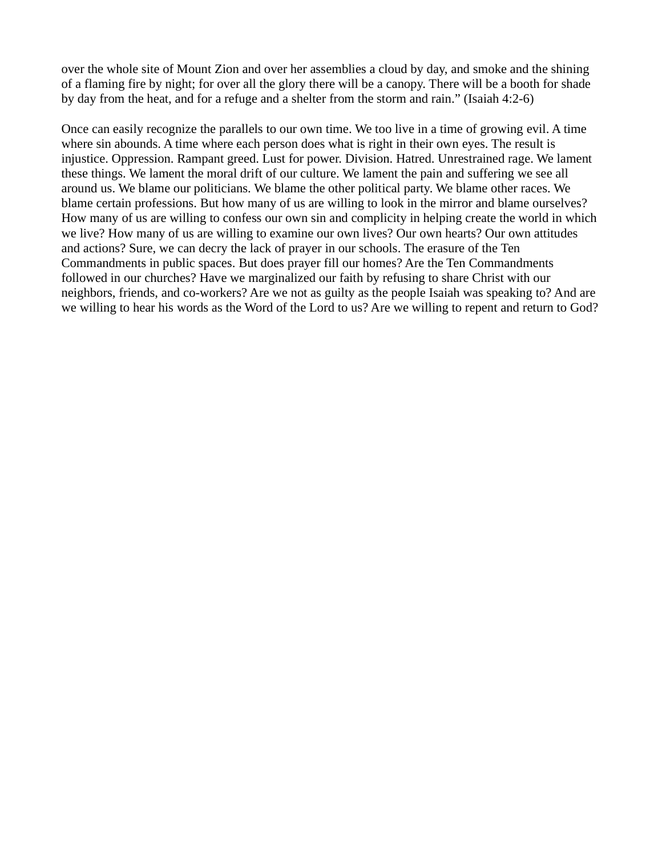over the whole site of Mount Zion and over her assemblies a cloud by day, and smoke and the shining of a flaming fire by night; for over all the glory there will be a canopy. There will be a booth for shade by day from the heat, and for a refuge and a shelter from the storm and rain." (Isaiah 4:2-6)

Once can easily recognize the parallels to our own time. We too live in a time of growing evil. A time where sin abounds. A time where each person does what is right in their own eyes. The result is injustice. Oppression. Rampant greed. Lust for power. Division. Hatred. Unrestrained rage. We lament these things. We lament the moral drift of our culture. We lament the pain and suffering we see all around us. We blame our politicians. We blame the other political party. We blame other races. We blame certain professions. But how many of us are willing to look in the mirror and blame ourselves? How many of us are willing to confess our own sin and complicity in helping create the world in which we live? How many of us are willing to examine our own lives? Our own hearts? Our own attitudes and actions? Sure, we can decry the lack of prayer in our schools. The erasure of the Ten Commandments in public spaces. But does prayer fill our homes? Are the Ten Commandments followed in our churches? Have we marginalized our faith by refusing to share Christ with our neighbors, friends, and co-workers? Are we not as guilty as the people Isaiah was speaking to? And are we willing to hear his words as the Word of the Lord to us? Are we willing to repent and return to God?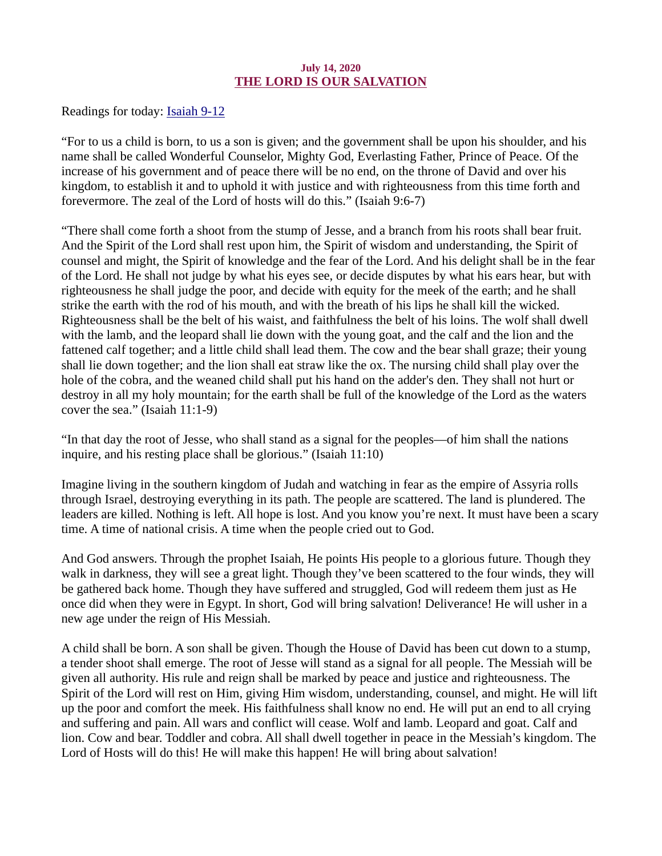## July 14, 2020 THE LORD IS OUR SALVATION

<span id="page-15-0"></span>[Readings for today: Isaiah 9-12](https://www.biblegateway.com/passage/?search=Isaiah+9-12&version=ESV)

"For to us a child is born, to us a son is given; and the government shall be upon his shoulder, and his name shall be called Wonderful Counselor, Mighty God, Everlasting Father, Prince of Peace. Of the increase of his government and of peace there will be no end, on the throne of David and over his kingdom, to establish it and to uphold it with justice and with righteousness from this time forth and forevermore. The zeal of the Lord of hosts will do this." (Isaiah 9:6-7)

"There shall come forth a shoot from the stump of Jesse, and a branch from his roots shall bear fruit. And the Spirit of the Lord shall rest upon him, the Spirit of wisdom and understanding, the Spirit of counsel and might, the Spirit of knowledge and the fear of the Lord. And his delight shall be in the fear of the Lord. He shall not judge by what his eyes see, or decide disputes by what his ears hear, but with righteousness he shall judge the poor, and decide with equity for the meek of the earth; and he shall strike the earth with the rod of his mouth, and with the breath of his lips he shall kill the wicked. Righteousness shall be the belt of his waist, and faithfulness the belt of his loins. The wolf shall dwell with the lamb, and the leopard shall lie down with the young goat, and the calf and the lion and the fattened calf together; and a little child shall lead them. The cow and the bear shall graze; their young shall lie down together; and the lion shall eat straw like the ox. The nursing child shall play over the hole of the cobra, and the weaned child shall put his hand on the adder's den. They shall not hurt or destroy in all my holy mountain; for the earth shall be full of the knowledge of the Lord as the waters cover the sea." (Isaiah 11:1-9)

"In that day the root of Jesse, who shall stand as a signal for the peoples—of him shall the nations inquire, and his resting place shall be glorious." (Isaiah 11:10)

Imagine living in the southern kingdom of Judah and watching in fear as the empire of Assyria rolls through Israel, destroying everything in its path. The people are scattered. The land is plundered. The leaders are killed. Nothing is left. All hope is lost. And you know you're next. It must have been a scary time. A time of national crisis. A time when the people cried out to God.

And God answers. Through the prophet Isaiah, He points His people to a glorious future. Though they walk in darkness, they will see a great light. Though they've been scattered to the four winds, they will be gathered back home. Though they have suffered and struggled, God will redeem them just as He once did when they were in Egypt. In short, God will bring salvation! Deliverance! He will usher in a new age under the reign of His Messiah.

A child shall be born. A son shall be given. Though the House of David has been cut down to a stump, a tender shoot shall emerge. The root of Jesse will stand as a signal for all people. The Messiah will be given all authority. His rule and reign shall be marked by peace and justice and righteousness. The Spirit of the Lord will rest on Him, giving Him wisdom, understanding, counsel, and might. He will lift up the poor and comfort the meek. His faithfulness shall know no end. He will put an end to all crying and suffering and pain. All wars and conflict will cease. Wolf and lamb. Leopard and goat. Calf and lion. Cow and bear. Toddler and cobra. All shall dwell together in peace in the Messiah's kingdom. The Lord of Hosts will do this! He will make this happen! He will bring about salvation!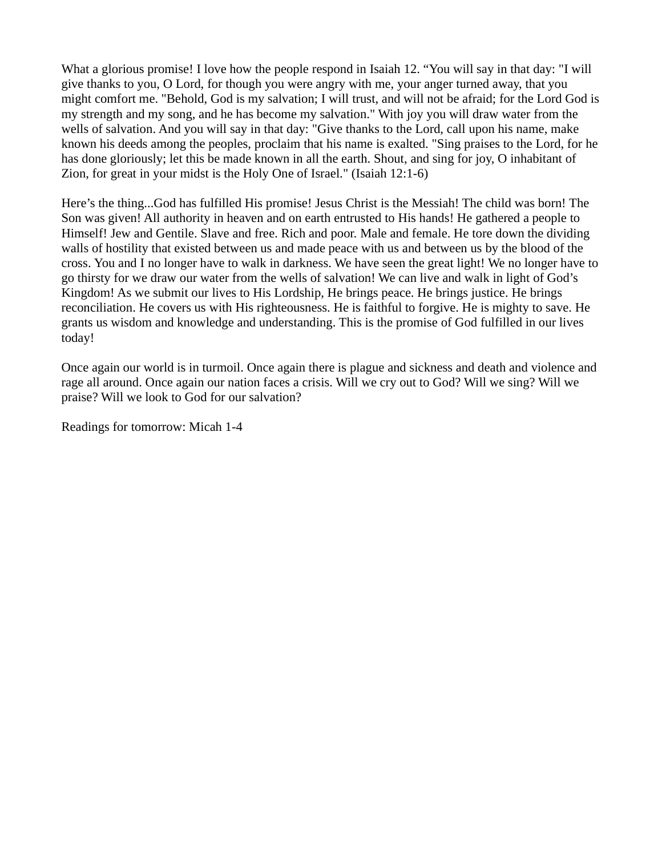What a glorious promise! I love how the people respond in Isaiah 12. "You will say in that day: "I will give thanks to you, O Lord, for though you were angry with me, your anger turned away, that you might comfort me. "Behold, God is my salvation; I will trust, and will not be afraid; for the Lord God is my strength and my song, and he has become my salvation." With joy you will draw water from the wells of salvation. And you will say in that day: "Give thanks to the Lord, call upon his name, make known his deeds among the peoples, proclaim that his name is exalted. "Sing praises to the Lord, for he has done gloriously; let this be made known in all the earth. Shout, and sing for joy, O inhabitant of Zion, for great in your midst is the Holy One of Israel." (Isaiah 12:1-6)

Here's the thing...God has fulfilled His promise! Jesus Christ is the Messiah! The child was born! The Son was given! All authority in heaven and on earth entrusted to His hands! He gathered a people to Himself! Jew and Gentile. Slave and free. Rich and poor. Male and female. He tore down the dividing walls of hostility that existed between us and made peace with us and between us by the blood of the cross. You and I no longer have to walk in darkness. We have seen the great light! We no longer have to go thirsty for we draw our water from the wells of salvation! We can live and walk in light of God's Kingdom! As we submit our lives to His Lordship, He brings peace. He brings justice. He brings reconciliation. He covers us with His righteousness. He is faithful to forgive. He is mighty to save. He grants us wisdom and knowledge and understanding. This is the promise of God fulfilled in our lives today!

Once again our world is in turmoil. Once again there is plague and sickness and death and violence and rage all around. Once again our nation faces a crisis. Will we cry out to God? Will we sing? Will we praise? Will we look to God for our salvation?

Readings for tomorrow: Micah 1-4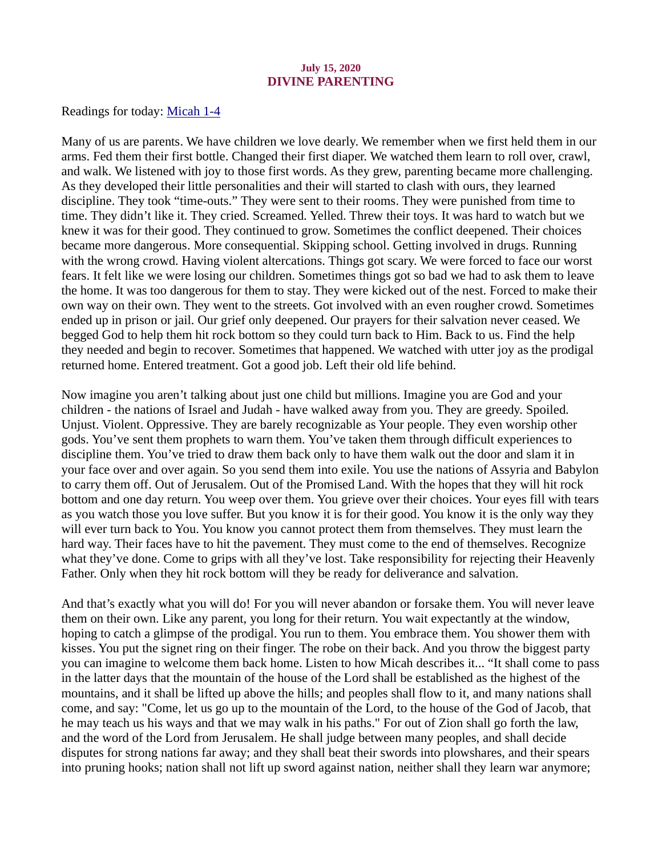#### July 15, 2020 DIVINE PARENTING

<span id="page-17-0"></span>[Readings for today: Micah 1-4](https://www.biblegateway.com/passage/?search=Micah+1-4&version=ESV)

Many of us are parents. We have children we love dearly. We remember when we first held them in our arms. Fed them their first bottle. Changed their first diaper. We watched them learn to roll over, crawl, and walk. We listened with joy to those first words. As they grew, parenting became more challenging. As they developed their little personalities and their will started to clash with ours, they learned discipline. They took "time-outs." They were sent to their rooms. They were punished from time to time. They didn't like it. They cried. Screamed. Yelled. Threw their toys. It was hard to watch but we knew it was for their good. They continued to grow. Sometimes the conflict deepened. Their choices became more dangerous. More consequential. Skipping school. Getting involved in drugs. Running with the wrong crowd. Having violent altercations. Things got scary. We were forced to face our worst fears. It felt like we were losing our children. Sometimes things got so bad we had to ask them to leave the home. It was too dangerous for them to stay. They were kicked out of the nest. Forced to make their own way on their own. They went to the streets. Got involved with an even rougher crowd. Sometimes ended up in prison or jail. Our grief only deepened. Our prayers for their salvation never ceased. We begged God to help them hit rock bottom so they could turn back to Him. Back to us. Find the help they needed and begin to recover. Sometimes that happened. We watched with utter joy as the prodigal returned home. Entered treatment. Got a good job. Left their old life behind.

Now imagine you aren't talking about just one child but millions. Imagine you are God and your children - the nations of Israel and Judah - have walked away from you. They are greedy. Spoiled. Unjust. Violent. Oppressive. They are barely recognizable as Your people. They even worship other gods. You've sent them prophets to warn them. You've taken them through difficult experiences to discipline them. You've tried to draw them back only to have them walk out the door and slam it in your face over and over again. So you send them into exile. You use the nations of Assyria and Babylon to carry them off. Out of Jerusalem. Out of the Promised Land. With the hopes that they will hit rock bottom and one day return. You weep over them. You grieve over their choices. Your eyes fill with tears as you watch those you love suffer. But you know it is for their good. You know it is the only way they will ever turn back to You. You know you cannot protect them from themselves. They must learn the hard way. Their faces have to hit the pavement. They must come to the end of themselves. Recognize what they've done. Come to grips with all they've lost. Take responsibility for rejecting their Heavenly Father. Only when they hit rock bottom will they be ready for deliverance and salvation.

And that's exactly what you will do! For you will never abandon or forsake them. You will never leave them on their own. Like any parent, you long for their return. You wait expectantly at the window, hoping to catch a glimpse of the prodigal. You run to them. You embrace them. You shower them with kisses. You put the signet ring on their finger. The robe on their back. And you throw the biggest party you can imagine to welcome them back home. Listen to how Micah describes it... "It shall come to pass in the latter days that the mountain of the house of the Lord shall be established as the highest of the mountains, and it shall be lifted up above the hills; and peoples shall flow to it, and many nations shall come, and say: "Come, let us go up to the mountain of the Lord, to the house of the God of Jacob, that he may teach us his ways and that we may walk in his paths." For out of Zion shall go forth the law, and the word of the Lord from Jerusalem. He shall judge between many peoples, and shall decide disputes for strong nations far away; and they shall beat their swords into plowshares, and their spears into pruning hooks; nation shall not lift up sword against nation, neither shall they learn war anymore;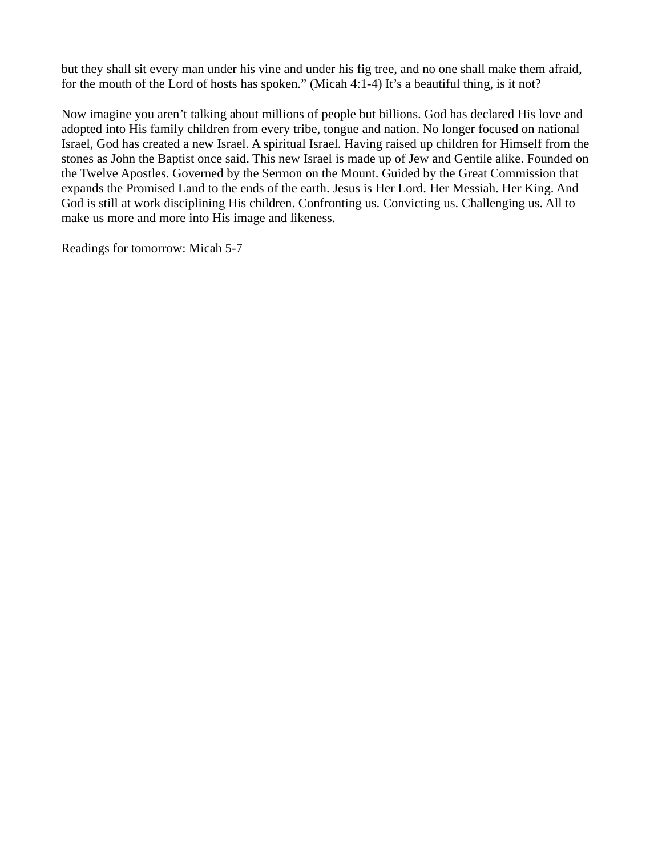but they shall sit every man under his vine and under his fig tree, and no one shall make them afraid, for the mouth of the Lord of hosts has spoken." (Micah 4:1-4) It's a beautiful thing, is it not?

Now imagine you aren't talking about millions of people but billions. God has declared His love and adopted into His family children from every tribe, tongue and nation. No longer focused on national Israel, God has created a new Israel. A spiritual Israel. Having raised up children for Himself from the stones as John the Baptist once said. This new Israel is made up of Jew and Gentile alike. Founded on the Twelve Apostles. Governed by the Sermon on the Mount. Guided by the Great Commission that expands the Promised Land to the ends of the earth. Jesus is Her Lord. Her Messiah. Her King. And God is still at work disciplining His children. Confronting us. Convicting us. Challenging us. All to make us more and more into His image and likeness.

Readings for tomorrow: Micah 5-7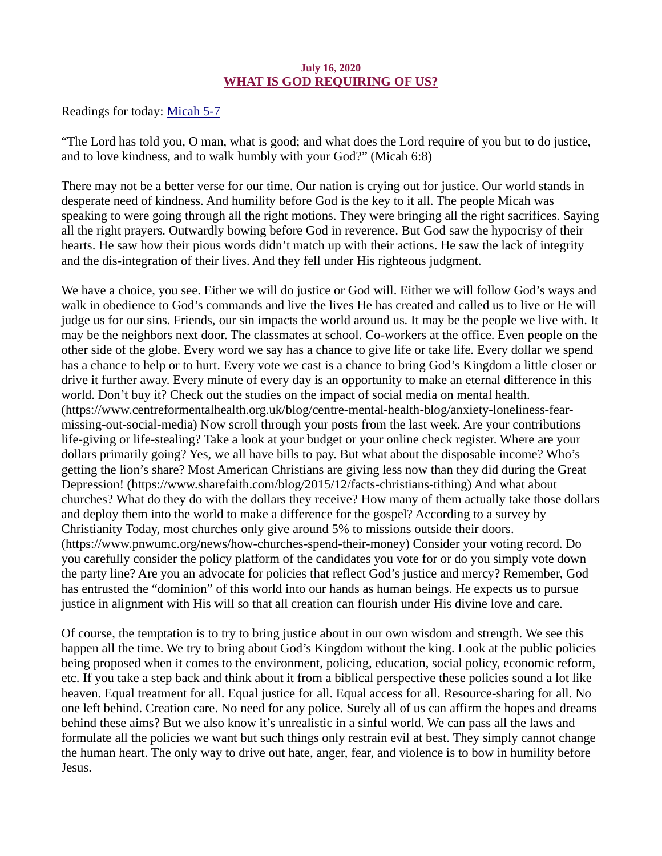## July 16, 2020 WHAT IS GOD REQUIRING OF US?

<span id="page-19-0"></span>[Readings for today: Micah 5-7](https://www.biblegateway.com/passage/?search=Micah+5-7&version=ESV)

"The Lord has told you, O man, what is good; and what does the Lord require of you but to do justice, and to love kindness, and to walk humbly with your God?" (Micah 6:8)

There may not be a better verse for our time. Our nation is crying out for justice. Our world stands in desperate need of kindness. And humility before God is the key to it all. The people Micah was speaking to were going through all the right motions. They were bringing all the right sacrifices. Saying all the right prayers. Outwardly bowing before God in reverence. But God saw the hypocrisy of their hearts. He saw how their pious words didn't match up with their actions. He saw the lack of integrity and the dis-integration of their lives. And they fell under His righteous judgment.

We have a choice, you see. Either we will do justice or God will. Either we will follow God's ways and walk in obedience to God's commands and live the lives He has created and called us to live or He will judge us for our sins. Friends, our sin impacts the world around us. It may be the people we live with. It may be the neighbors next door. The classmates at school. Co-workers at the office. Even people on the other side of the globe. Every word we say has a chance to give life or take life. Every dollar we spend has a chance to help or to hurt. Every vote we cast is a chance to bring God's Kingdom a little closer or drive it further away. Every minute of every day is an opportunity to make an eternal difference in this world. Don't buy it? Check out the studies on the impact of social media on mental health. (https://www.centreformentalhealth.org.uk/blog/centre-mental-health-blog/anxiety-loneliness-fearmissing-out-social-media) Now scroll through your posts from the last week. Are your contributions life-giving or life-stealing? Take a look at your budget or your online check register. Where are your dollars primarily going? Yes, we all have bills to pay. But what about the disposable income? Who's getting the lion's share? Most American Christians are giving less now than they did during the Great Depression! (https://www.sharefaith.com/blog/2015/12/facts-christians-tithing) And what about churches? What do they do with the dollars they receive? How many of them actually take those dollars and deploy them into the world to make a difference for the gospel? According to a survey by Christianity Today, most churches only give around 5% to missions outside their doors. (https://www.pnwumc.org/news/how-churches-spend-their-money) Consider your voting record. Do you carefully consider the policy platform of the candidates you vote for or do you simply vote down the party line? Are you an advocate for policies that reflect God's justice and mercy? Remember, God has entrusted the "dominion" of this world into our hands as human beings. He expects us to pursue justice in alignment with His will so that all creation can flourish under His divine love and care.

Of course, the temptation is to try to bring justice about in our own wisdom and strength. We see this happen all the time. We try to bring about God's Kingdom without the king. Look at the public policies being proposed when it comes to the environment, policing, education, social policy, economic reform, etc. If you take a step back and think about it from a biblical perspective these policies sound a lot like heaven. Equal treatment for all. Equal justice for all. Equal access for all. Resource-sharing for all. No one left behind. Creation care. No need for any police. Surely all of us can affirm the hopes and dreams behind these aims? But we also know it's unrealistic in a sinful world. We can pass all the laws and formulate all the policies we want but such things only restrain evil at best. They simply cannot change the human heart. The only way to drive out hate, anger, fear, and violence is to bow in humility before Jesus.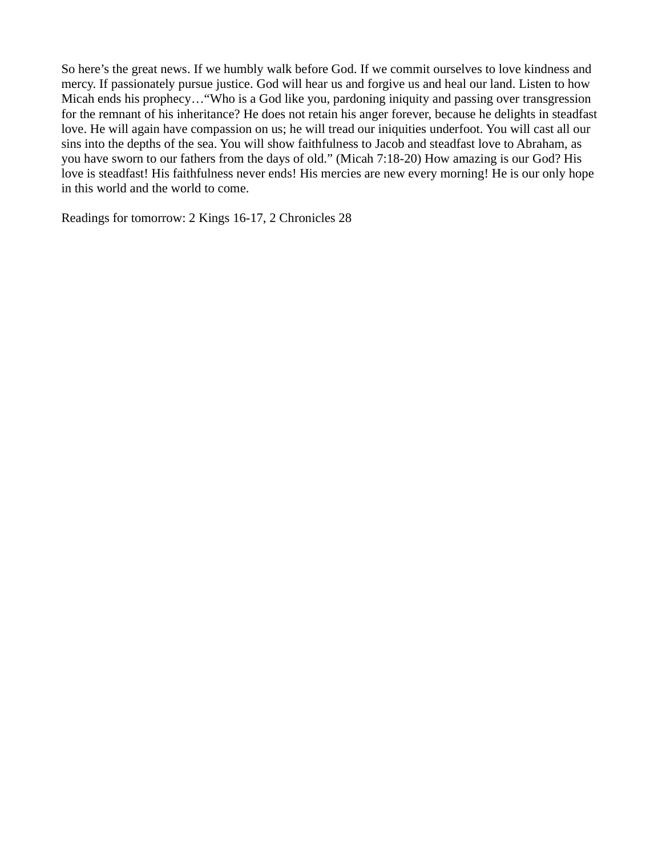So here's the great news. If we humbly walk before God. If we commit ourselves to love kindness and mercy. If passionately pursue justice. God will hear us and forgive us and heal our land. Listen to how Micah ends his prophecy…"Who is a God like you, pardoning iniquity and passing over transgression for the remnant of his inheritance? He does not retain his anger forever, because he delights in steadfast love. He will again have compassion on us; he will tread our iniquities underfoot. You will cast all our sins into the depths of the sea. You will show faithfulness to Jacob and steadfast love to Abraham, as you have sworn to our fathers from the days of old." (Micah 7:18-20) How amazing is our God? His love is steadfast! His faithfulness never ends! His mercies are new every morning! He is our only hope in this world and the world to come.

Readings for tomorrow: 2 Kings 16-17, 2 Chronicles 28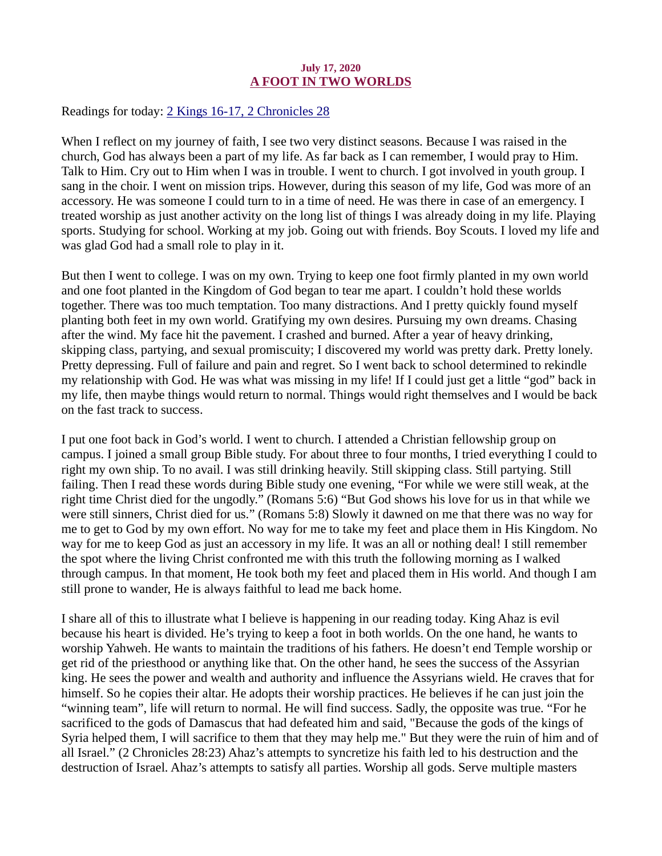## July 17, 2020 A FOOT IN TWO WORLDS

<span id="page-21-0"></span>[Readings for today: 2 Kings 16-17, 2 Chronicles 28](https://www.biblegateway.com/passage/?search=2+Kings+16-17%2C+2+Chronicles+28&version=ESV)

When I reflect on my journey of faith, I see two very distinct seasons. Because I was raised in the church, God has always been a part of my life. As far back as I can remember, I would pray to Him. Talk to Him. Cry out to Him when I was in trouble. I went to church. I got involved in youth group. I sang in the choir. I went on mission trips. However, during this season of my life, God was more of an accessory. He was someone I could turn to in a time of need. He was there in case of an emergency. I treated worship as just another activity on the long list of things I was already doing in my life. Playing sports. Studying for school. Working at my job. Going out with friends. Boy Scouts. I loved my life and was glad God had a small role to play in it.

But then I went to college. I was on my own. Trying to keep one foot firmly planted in my own world and one foot planted in the Kingdom of God began to tear me apart. I couldn't hold these worlds together. There was too much temptation. Too many distractions. And I pretty quickly found myself planting both feet in my own world. Gratifying my own desires. Pursuing my own dreams. Chasing after the wind. My face hit the pavement. I crashed and burned. After a year of heavy drinking, skipping class, partying, and sexual promiscuity; I discovered my world was pretty dark. Pretty lonely. Pretty depressing. Full of failure and pain and regret. So I went back to school determined to rekindle my relationship with God. He was what was missing in my life! If I could just get a little "god" back in my life, then maybe things would return to normal. Things would right themselves and I would be back on the fast track to success.

I put one foot back in God's world. I went to church. I attended a Christian fellowship group on campus. I joined a small group Bible study. For about three to four months, I tried everything I could to right my own ship. To no avail. I was still drinking heavily. Still skipping class. Still partying. Still failing. Then I read these words during Bible study one evening, "For while we were still weak, at the right time Christ died for the ungodly." (Romans 5:6) "But God shows his love for us in that while we were still sinners, Christ died for us." (Romans 5:8) Slowly it dawned on me that there was no way for me to get to God by my own effort. No way for me to take my feet and place them in His Kingdom. No way for me to keep God as just an accessory in my life. It was an all or nothing deal! I still remember the spot where the living Christ confronted me with this truth the following morning as I walked through campus. In that moment, He took both my feet and placed them in His world. And though I am still prone to wander, He is always faithful to lead me back home.

I share all of this to illustrate what I believe is happening in our reading today. King Ahaz is evil because his heart is divided. He's trying to keep a foot in both worlds. On the one hand, he wants to worship Yahweh. He wants to maintain the traditions of his fathers. He doesn't end Temple worship or get rid of the priesthood or anything like that. On the other hand, he sees the success of the Assyrian king. He sees the power and wealth and authority and influence the Assyrians wield. He craves that for himself. So he copies their altar. He adopts their worship practices. He believes if he can just join the "winning team", life will return to normal. He will find success. Sadly, the opposite was true. "For he sacrificed to the gods of Damascus that had defeated him and said, "Because the gods of the kings of Syria helped them, I will sacrifice to them that they may help me." But they were the ruin of him and of all Israel." (2 Chronicles 28:23) Ahaz's attempts to syncretize his faith led to his destruction and the destruction of Israel. Ahaz's attempts to satisfy all parties. Worship all gods. Serve multiple masters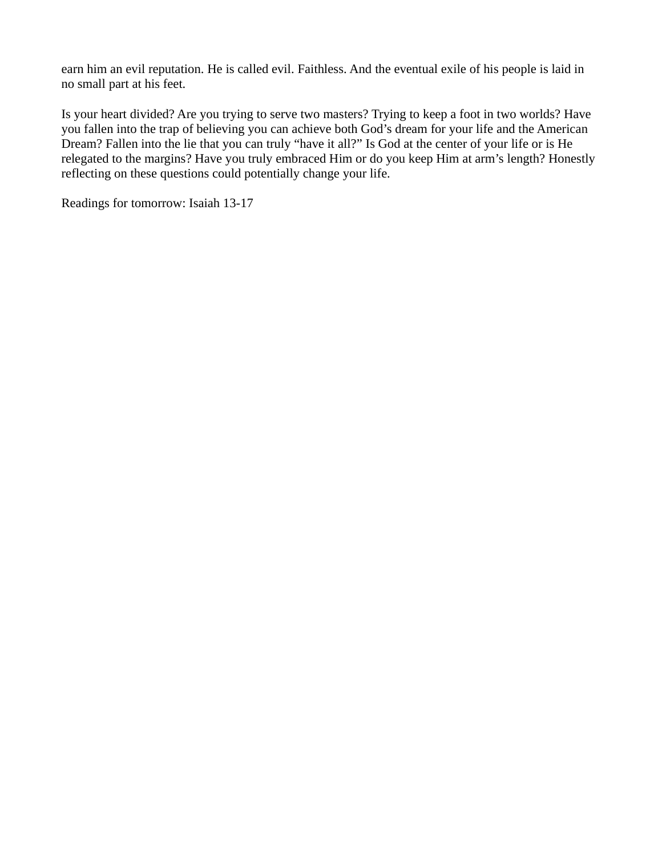earn him an evil reputation. He is called evil. Faithless. And the eventual exile of his people is laid in no small part at his feet.

Is your heart divided? Are you trying to serve two masters? Trying to keep a foot in two worlds? Have you fallen into the trap of believing you can achieve both God's dream for your life and the American Dream? Fallen into the lie that you can truly "have it all?" Is God at the center of your life or is He relegated to the margins? Have you truly embraced Him or do you keep Him at arm's length? Honestly reflecting on these questions could potentially change your life.

Readings for tomorrow: Isaiah 13-17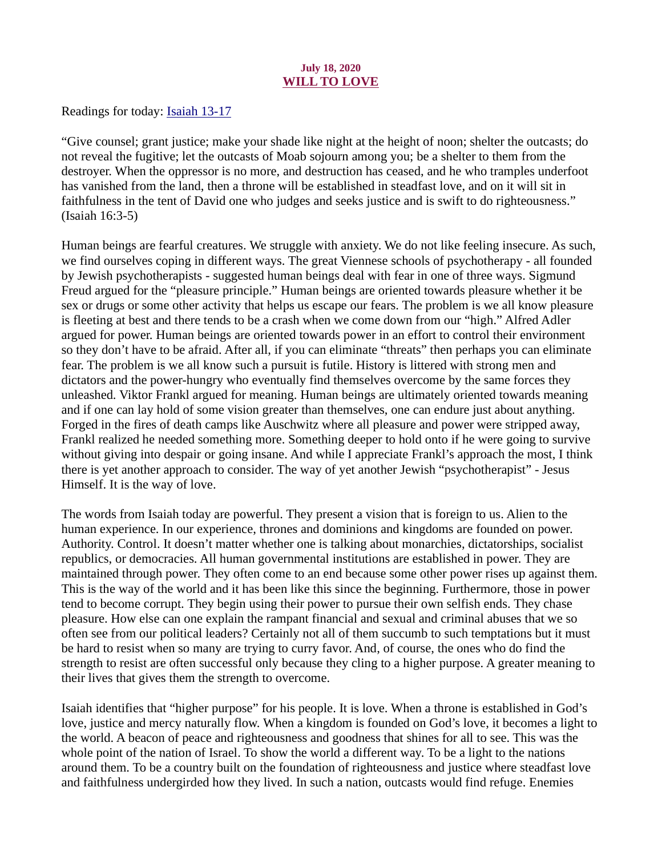## July 18, 2020 WILL TO LOVE

<span id="page-23-0"></span>Readings for today: **Isaiah 13-17** 

"Give counsel; grant justice; make your shade like night at the height of noon; shelter the outcasts; do not reveal the fugitive; let the outcasts of Moab sojourn among you; be a shelter to them from the destroyer. When the oppressor is no more, and destruction has ceased, and he who tramples underfoot has vanished from the land, then a throne will be established in steadfast love, and on it will sit in faithfulness in the tent of David one who judges and seeks justice and is swift to do righteousness." (Isaiah 16:3-5)

Human beings are fearful creatures. We struggle with anxiety. We do not like feeling insecure. As such, we find ourselves coping in different ways. The great Viennese schools of psychotherapy - all founded by Jewish psychotherapists - suggested human beings deal with fear in one of three ways. Sigmund Freud argued for the "pleasure principle." Human beings are oriented towards pleasure whether it be sex or drugs or some other activity that helps us escape our fears. The problem is we all know pleasure is fleeting at best and there tends to be a crash when we come down from our "high." Alfred Adler argued for power. Human beings are oriented towards power in an effort to control their environment so they don't have to be afraid. After all, if you can eliminate "threats" then perhaps you can eliminate fear. The problem is we all know such a pursuit is futile. History is littered with strong men and dictators and the power-hungry who eventually find themselves overcome by the same forces they unleashed. Viktor Frankl argued for meaning. Human beings are ultimately oriented towards meaning and if one can lay hold of some vision greater than themselves, one can endure just about anything. Forged in the fires of death camps like Auschwitz where all pleasure and power were stripped away, Frankl realized he needed something more. Something deeper to hold onto if he were going to survive without giving into despair or going insane. And while I appreciate Frankl's approach the most, I think there is yet another approach to consider. The way of yet another Jewish "psychotherapist" - Jesus Himself. It is the way of love.

The words from Isaiah today are powerful. They present a vision that is foreign to us. Alien to the human experience. In our experience, thrones and dominions and kingdoms are founded on power. Authority. Control. It doesn't matter whether one is talking about monarchies, dictatorships, socialist republics, or democracies. All human governmental institutions are established in power. They are maintained through power. They often come to an end because some other power rises up against them. This is the way of the world and it has been like this since the beginning. Furthermore, those in power tend to become corrupt. They begin using their power to pursue their own selfish ends. They chase pleasure. How else can one explain the rampant financial and sexual and criminal abuses that we so often see from our political leaders? Certainly not all of them succumb to such temptations but it must be hard to resist when so many are trying to curry favor. And, of course, the ones who do find the strength to resist are often successful only because they cling to a higher purpose. A greater meaning to their lives that gives them the strength to overcome.

Isaiah identifies that "higher purpose" for his people. It is love. When a throne is established in God's love, justice and mercy naturally flow. When a kingdom is founded on God's love, it becomes a light to the world. A beacon of peace and righteousness and goodness that shines for all to see. This was the whole point of the nation of Israel. To show the world a different way. To be a light to the nations around them. To be a country built on the foundation of righteousness and justice where steadfast love and faithfulness undergirded how they lived. In such a nation, outcasts would find refuge. Enemies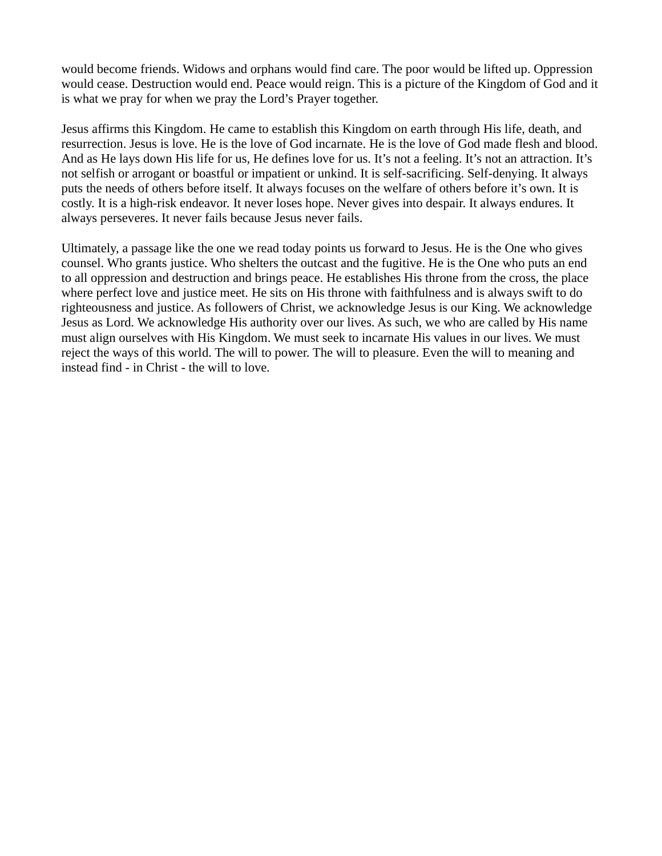would become friends. Widows and orphans would find care. The poor would be lifted up. Oppression would cease. Destruction would end. Peace would reign. This is a picture of the Kingdom of God and it is what we pray for when we pray the Lord's Prayer together.

Jesus affirms this Kingdom. He came to establish this Kingdom on earth through His life, death, and resurrection. Jesus is love. He is the love of God incarnate. He is the love of God made flesh and blood. And as He lays down His life for us, He defines love for us. It's not a feeling. It's not an attraction. It's not selfish or arrogant or boastful or impatient or unkind. It is self-sacrificing. Self-denying. It always puts the needs of others before itself. It always focuses on the welfare of others before it's own. It is costly. It is a high-risk endeavor. It never loses hope. Never gives into despair. It always endures. It always perseveres. It never fails because Jesus never fails.

Ultimately, a passage like the one we read today points us forward to Jesus. He is the One who gives counsel. Who grants justice. Who shelters the outcast and the fugitive. He is the One who puts an end to all oppression and destruction and brings peace. He establishes His throne from the cross, the place where perfect love and justice meet. He sits on His throne with faithfulness and is always swift to do righteousness and justice. As followers of Christ, we acknowledge Jesus is our King. We acknowledge Jesus as Lord. We acknowledge His authority over our lives. As such, we who are called by His name must align ourselves with His Kingdom. We must seek to incarnate His values in our lives. We must reject the ways of this world. The will to power. The will to pleasure. Even the will to meaning and instead find - in Christ - the will to love.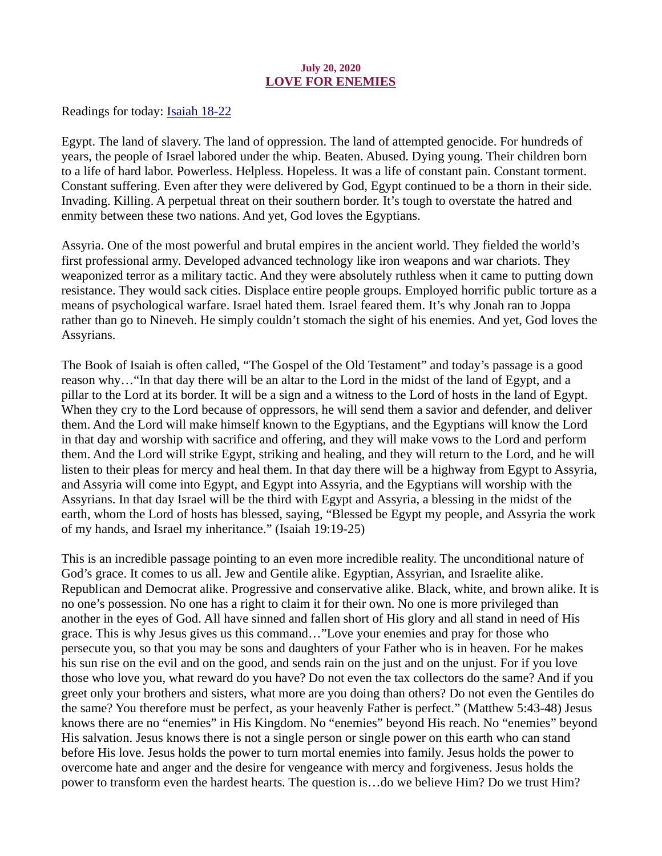### July 20, 2020 LOVE FOR ENEMIES

<span id="page-25-0"></span>[Readings for today: Isaiah 18-22](https://www.biblegateway.com/passage/?search=Isaiah+18-22&version=ESV)

Egypt. The land of slavery. The land of oppression. The land of attempted genocide. For hundreds of years, the people of Israel labored under the whip. Beaten. Abused. Dying young. Their children born to a life of hard labor. Powerless. Helpless. Hopeless. It was a life of constant pain. Constant torment. Constant suffering. Even after they were delivered by God, Egypt continued to be a thorn in their side. Invading. Killing. A perpetual threat on their southern border. It's tough to overstate the hatred and enmity between these two nations. And yet, God loves the Egyptians.

Assyria. One of the most powerful and brutal empires in the ancient world. They fielded the world's first professional army. Developed advanced technology like iron weapons and war chariots. They weaponized terror as a military tactic. And they were absolutely ruthless when it came to putting down resistance. They would sack cities. Displace entire people groups. Employed horrific public torture as a means of psychological warfare. Israel hated them. Israel feared them. It's why Jonah ran to Joppa rather than go to Nineveh. He simply couldn't stomach the sight of his enemies. And yet, God loves the Assyrians.

The Book of Isaiah is often called, "The Gospel of the Old Testament" and today's passage is a good reason why…"In that day there will be an altar to the Lord in the midst of the land of Egypt, and a pillar to the Lord at its border. It will be a sign and a witness to the Lord of hosts in the land of Egypt. When they cry to the Lord because of oppressors, he will send them a savior and defender, and deliver them. And the Lord will make himself known to the Egyptians, and the Egyptians will know the Lord in that day and worship with sacrifice and offering, and they will make vows to the Lord and perform them. And the Lord will strike Egypt, striking and healing, and they will return to the Lord, and he will listen to their pleas for mercy and heal them. In that day there will be a highway from Egypt to Assyria, and Assyria will come into Egypt, and Egypt into Assyria, and the Egyptians will worship with the Assyrians. In that day Israel will be the third with Egypt and Assyria, a blessing in the midst of the earth, whom the Lord of hosts has blessed, saying, "Blessed be Egypt my people, and Assyria the work of my hands, and Israel my inheritance." (Isaiah 19:19-25)

This is an incredible passage pointing to an even more incredible reality. The unconditional nature of God's grace. It comes to us all. Jew and Gentile alike. Egyptian, Assyrian, and Israelite alike. Republican and Democrat alike. Progressive and conservative alike. Black, white, and brown alike. It is no one's possession. No one has a right to claim it for their own. No one is more privileged than another in the eyes of God. All have sinned and fallen short of His glory and all stand in need of His grace. This is why Jesus gives us this command…"Love your enemies and pray for those who persecute you, so that you may be sons and daughters of your Father who is in heaven. For he makes his sun rise on the evil and on the good, and sends rain on the just and on the unjust. For if you love those who love you, what reward do you have? Do not even the tax collectors do the same? And if you greet only your brothers and sisters, what more are you doing than others? Do not even the Gentiles do the same? You therefore must be perfect, as your heavenly Father is perfect." (Matthew 5:43-48) Jesus knows there are no "enemies" in His Kingdom. No "enemies" beyond His reach. No "enemies" beyond His salvation. Jesus knows there is not a single person or single power on this earth who can stand before His love. Jesus holds the power to turn mortal enemies into family. Jesus holds the power to overcome hate and anger and the desire for vengeance with mercy and forgiveness. Jesus holds the power to transform even the hardest hearts. The question is…do we believe Him? Do we trust Him?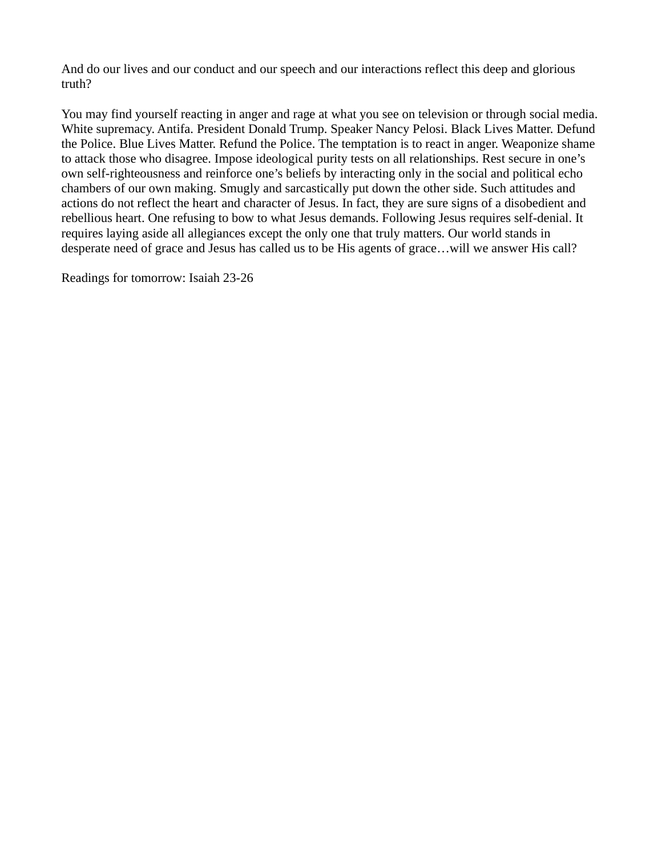And do our lives and our conduct and our speech and our interactions reflect this deep and glorious truth?

You may find yourself reacting in anger and rage at what you see on television or through social media. White supremacy. Antifa. President Donald Trump. Speaker Nancy Pelosi. Black Lives Matter. Defund the Police. Blue Lives Matter. Refund the Police. The temptation is to react in anger. Weaponize shame to attack those who disagree. Impose ideological purity tests on all relationships. Rest secure in one's own self-righteousness and reinforce one's beliefs by interacting only in the social and political echo chambers of our own making. Smugly and sarcastically put down the other side. Such attitudes and actions do not reflect the heart and character of Jesus. In fact, they are sure signs of a disobedient and rebellious heart. One refusing to bow to what Jesus demands. Following Jesus requires self-denial. It requires laying aside all allegiances except the only one that truly matters. Our world stands in desperate need of grace and Jesus has called us to be His agents of grace…will we answer His call?

Readings for tomorrow: Isaiah 23-26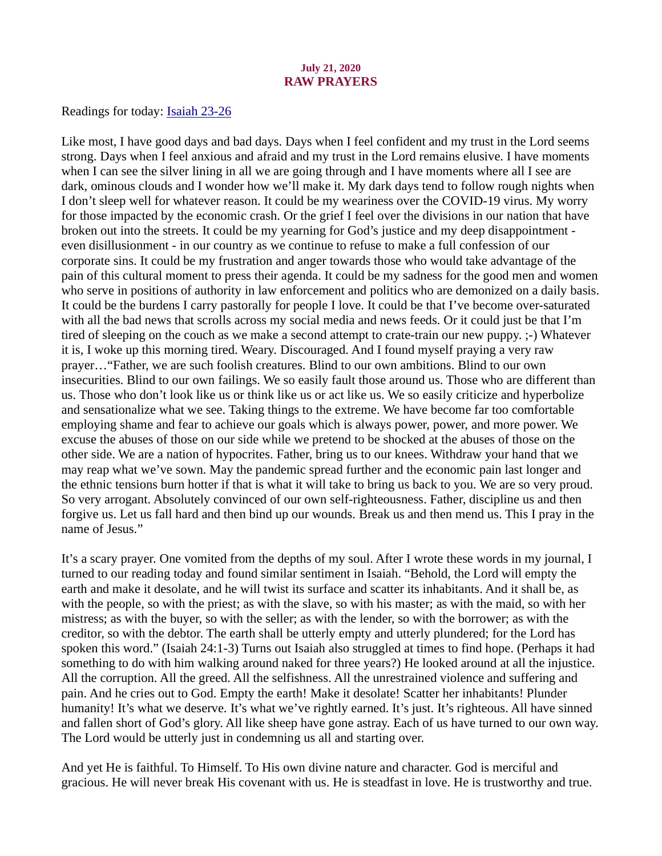#### July 21, 2020 RAW PRAYERS

<span id="page-27-0"></span>[Readings for today: Isaiah 23-26](https://www.biblegateway.com/passage/?search=Isaiah+23-26&version=ESV)

Like most, I have good days and bad days. Days when I feel confident and my trust in the Lord seems strong. Days when I feel anxious and afraid and my trust in the Lord remains elusive. I have moments when I can see the silver lining in all we are going through and I have moments where all I see are dark, ominous clouds and I wonder how we'll make it. My dark days tend to follow rough nights when I don't sleep well for whatever reason. It could be my weariness over the COVID-19 virus. My worry for those impacted by the economic crash. Or the grief I feel over the divisions in our nation that have broken out into the streets. It could be my yearning for God's justice and my deep disappointment even disillusionment - in our country as we continue to refuse to make a full confession of our corporate sins. It could be my frustration and anger towards those who would take advantage of the pain of this cultural moment to press their agenda. It could be my sadness for the good men and women who serve in positions of authority in law enforcement and politics who are demonized on a daily basis. It could be the burdens I carry pastorally for people I love. It could be that I've become over-saturated with all the bad news that scrolls across my social media and news feeds. Or it could just be that I'm tired of sleeping on the couch as we make a second attempt to crate-train our new puppy. ;-) Whatever it is, I woke up this morning tired. Weary. Discouraged. And I found myself praying a very raw prayer…"Father, we are such foolish creatures. Blind to our own ambitions. Blind to our own insecurities. Blind to our own failings. We so easily fault those around us. Those who are different than us. Those who don't look like us or think like us or act like us. We so easily criticize and hyperbolize and sensationalize what we see. Taking things to the extreme. We have become far too comfortable employing shame and fear to achieve our goals which is always power, power, and more power. We excuse the abuses of those on our side while we pretend to be shocked at the abuses of those on the other side. We are a nation of hypocrites. Father, bring us to our knees. Withdraw your hand that we may reap what we've sown. May the pandemic spread further and the economic pain last longer and the ethnic tensions burn hotter if that is what it will take to bring us back to you. We are so very proud. So very arrogant. Absolutely convinced of our own self-righteousness. Father, discipline us and then forgive us. Let us fall hard and then bind up our wounds. Break us and then mend us. This I pray in the name of Jesus."

It's a scary prayer. One vomited from the depths of my soul. After I wrote these words in my journal, I turned to our reading today and found similar sentiment in Isaiah. "Behold, the Lord will empty the earth and make it desolate, and he will twist its surface and scatter its inhabitants. And it shall be, as with the people, so with the priest; as with the slave, so with his master; as with the maid, so with her mistress; as with the buyer, so with the seller; as with the lender, so with the borrower; as with the creditor, so with the debtor. The earth shall be utterly empty and utterly plundered; for the Lord has spoken this word." (Isaiah 24:1-3) Turns out Isaiah also struggled at times to find hope. (Perhaps it had something to do with him walking around naked for three years?) He looked around at all the injustice. All the corruption. All the greed. All the selfishness. All the unrestrained violence and suffering and pain. And he cries out to God. Empty the earth! Make it desolate! Scatter her inhabitants! Plunder humanity! It's what we deserve. It's what we've rightly earned. It's just. It's righteous. All have sinned and fallen short of God's glory. All like sheep have gone astray. Each of us have turned to our own way. The Lord would be utterly just in condemning us all and starting over.

And yet He is faithful. To Himself. To His own divine nature and character. God is merciful and gracious. He will never break His covenant with us. He is steadfast in love. He is trustworthy and true.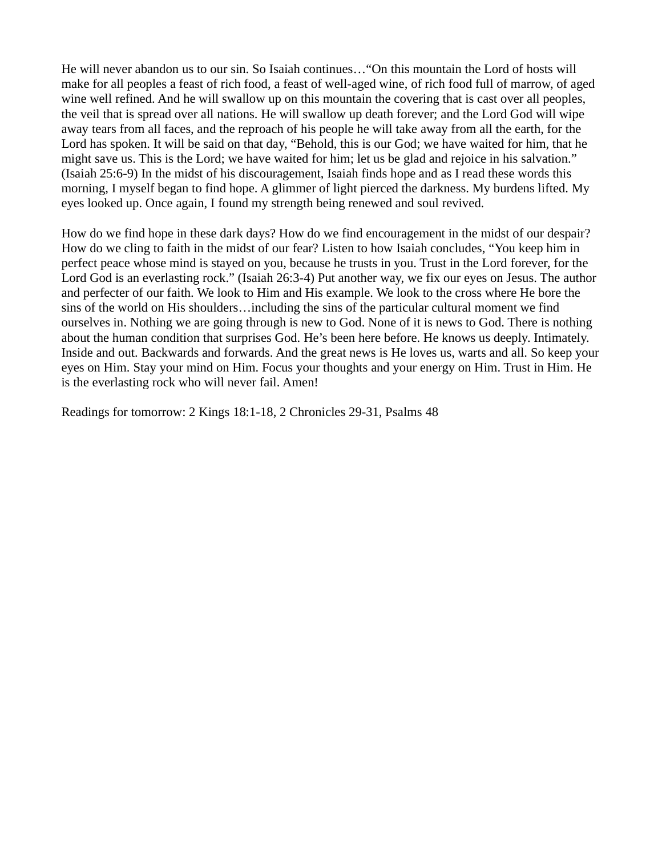He will never abandon us to our sin. So Isaiah continues…"On this mountain the Lord of hosts will make for all peoples a feast of rich food, a feast of well-aged wine, of rich food full of marrow, of aged wine well refined. And he will swallow up on this mountain the covering that is cast over all peoples, the veil that is spread over all nations. He will swallow up death forever; and the Lord God will wipe away tears from all faces, and the reproach of his people he will take away from all the earth, for the Lord has spoken. It will be said on that day, "Behold, this is our God; we have waited for him, that he might save us. This is the Lord; we have waited for him; let us be glad and rejoice in his salvation." (Isaiah 25:6-9) In the midst of his discouragement, Isaiah finds hope and as I read these words this morning, I myself began to find hope. A glimmer of light pierced the darkness. My burdens lifted. My eyes looked up. Once again, I found my strength being renewed and soul revived.

How do we find hope in these dark days? How do we find encouragement in the midst of our despair? How do we cling to faith in the midst of our fear? Listen to how Isaiah concludes, "You keep him in perfect peace whose mind is stayed on you, because he trusts in you. Trust in the Lord forever, for the Lord God is an everlasting rock." (Isaiah 26:3-4) Put another way, we fix our eyes on Jesus. The author and perfecter of our faith. We look to Him and His example. We look to the cross where He bore the sins of the world on His shoulders…including the sins of the particular cultural moment we find ourselves in. Nothing we are going through is new to God. None of it is news to God. There is nothing about the human condition that surprises God. He's been here before. He knows us deeply. Intimately. Inside and out. Backwards and forwards. And the great news is He loves us, warts and all. So keep your eyes on Him. Stay your mind on Him. Focus your thoughts and your energy on Him. Trust in Him. He is the everlasting rock who will never fail. Amen!

Readings for tomorrow: 2 Kings 18:1-18, 2 Chronicles 29-31, Psalms 48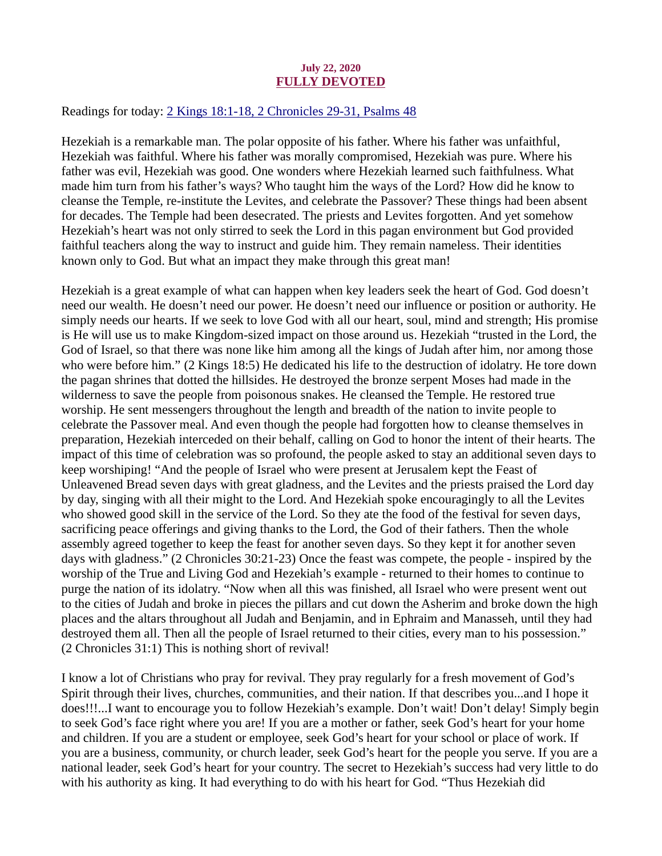## July 22, 2020 FULLY DEVOTED

<span id="page-29-0"></span>[Readings for today: 2 Kings 18:1-18, 2 Chronicles 29-31, Psalms 48](https://www.biblegateway.com/passage/?search=2+Kings+18%3A1-18%2C+2+Chronicles+29-31%2C+Psalms+48&version=ESV)

Hezekiah is a remarkable man. The polar opposite of his father. Where his father was unfaithful, Hezekiah was faithful. Where his father was morally compromised, Hezekiah was pure. Where his father was evil, Hezekiah was good. One wonders where Hezekiah learned such faithfulness. What made him turn from his father's ways? Who taught him the ways of the Lord? How did he know to cleanse the Temple, re-institute the Levites, and celebrate the Passover? These things had been absent for decades. The Temple had been desecrated. The priests and Levites forgotten. And yet somehow Hezekiah's heart was not only stirred to seek the Lord in this pagan environment but God provided faithful teachers along the way to instruct and guide him. They remain nameless. Their identities known only to God. But what an impact they make through this great man!

Hezekiah is a great example of what can happen when key leaders seek the heart of God. God doesn't need our wealth. He doesn't need our power. He doesn't need our influence or position or authority. He simply needs our hearts. If we seek to love God with all our heart, soul, mind and strength; His promise is He will use us to make Kingdom-sized impact on those around us. Hezekiah "trusted in the Lord, the God of Israel, so that there was none like him among all the kings of Judah after him, nor among those who were before him." (2 Kings 18:5) He dedicated his life to the destruction of idolatry. He tore down the pagan shrines that dotted the hillsides. He destroyed the bronze serpent Moses had made in the wilderness to save the people from poisonous snakes. He cleansed the Temple. He restored true worship. He sent messengers throughout the length and breadth of the nation to invite people to celebrate the Passover meal. And even though the people had forgotten how to cleanse themselves in preparation, Hezekiah interceded on their behalf, calling on God to honor the intent of their hearts. The impact of this time of celebration was so profound, the people asked to stay an additional seven days to keep worshiping! "And the people of Israel who were present at Jerusalem kept the Feast of Unleavened Bread seven days with great gladness, and the Levites and the priests praised the Lord day by day, singing with all their might to the Lord. And Hezekiah spoke encouragingly to all the Levites who showed good skill in the service of the Lord. So they ate the food of the festival for seven days, sacrificing peace offerings and giving thanks to the Lord, the God of their fathers. Then the whole assembly agreed together to keep the feast for another seven days. So they kept it for another seven days with gladness." (2 Chronicles 30:21-23) Once the feast was compete, the people - inspired by the worship of the True and Living God and Hezekiah's example - returned to their homes to continue to purge the nation of its idolatry. "Now when all this was finished, all Israel who were present went out to the cities of Judah and broke in pieces the pillars and cut down the Asherim and broke down the high places and the altars throughout all Judah and Benjamin, and in Ephraim and Manasseh, until they had destroyed them all. Then all the people of Israel returned to their cities, every man to his possession." (2 Chronicles 31:1) This is nothing short of revival!

I know a lot of Christians who pray for revival. They pray regularly for a fresh movement of God's Spirit through their lives, churches, communities, and their nation. If that describes you...and I hope it does!!!...I want to encourage you to follow Hezekiah's example. Don't wait! Don't delay! Simply begin to seek God's face right where you are! If you are a mother or father, seek God's heart for your home and children. If you are a student or employee, seek God's heart for your school or place of work. If you are a business, community, or church leader, seek God's heart for the people you serve. If you are a national leader, seek God's heart for your country. The secret to Hezekiah's success had very little to do with his authority as king. It had everything to do with his heart for God. "Thus Hezekiah did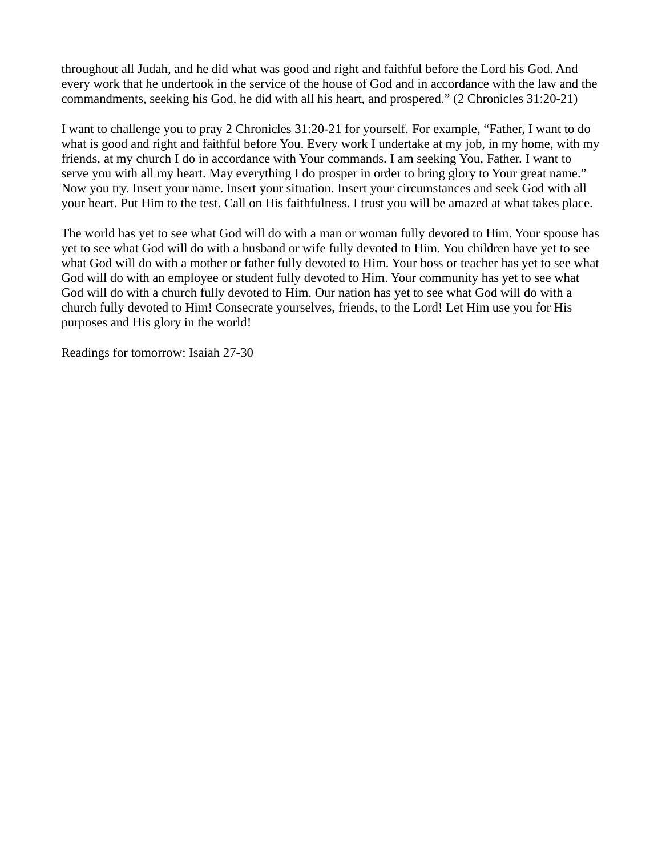throughout all Judah, and he did what was good and right and faithful before the Lord his God. And every work that he undertook in the service of the house of God and in accordance with the law and the commandments, seeking his God, he did with all his heart, and prospered." (2 Chronicles 31:20-21)

I want to challenge you to pray 2 Chronicles 31:20-21 for yourself. For example, "Father, I want to do what is good and right and faithful before You. Every work I undertake at my job, in my home, with my friends, at my church I do in accordance with Your commands. I am seeking You, Father. I want to serve you with all my heart. May everything I do prosper in order to bring glory to Your great name." Now you try. Insert your name. Insert your situation. Insert your circumstances and seek God with all your heart. Put Him to the test. Call on His faithfulness. I trust you will be amazed at what takes place.

The world has yet to see what God will do with a man or woman fully devoted to Him. Your spouse has yet to see what God will do with a husband or wife fully devoted to Him. You children have yet to see what God will do with a mother or father fully devoted to Him. Your boss or teacher has yet to see what God will do with an employee or student fully devoted to Him. Your community has yet to see what God will do with a church fully devoted to Him. Our nation has yet to see what God will do with a church fully devoted to Him! Consecrate yourselves, friends, to the Lord! Let Him use you for His purposes and His glory in the world!

Readings for tomorrow: Isaiah 27-30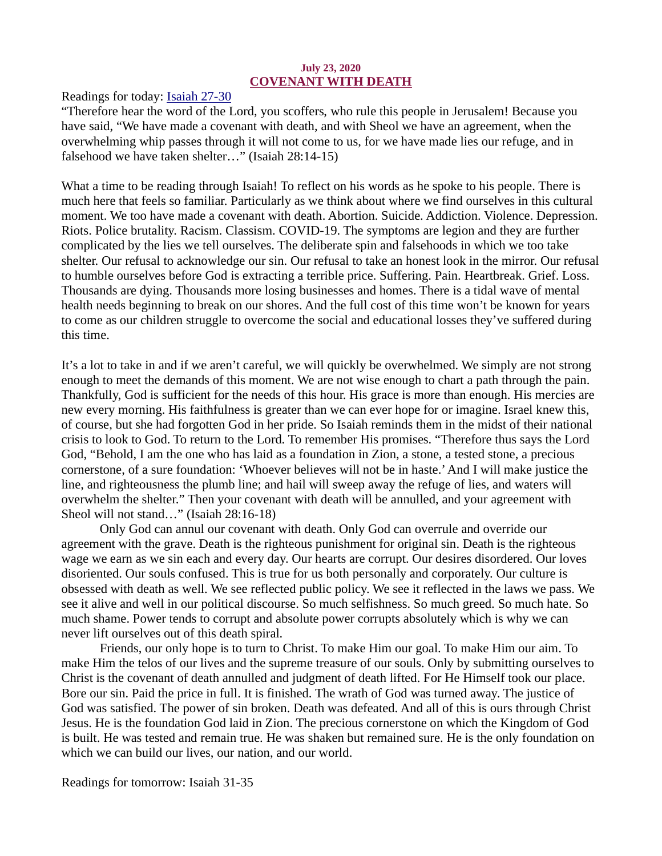### July 23, 2020 COVENANT WITH DEATH

<span id="page-31-0"></span>[Readings for today: Isaiah 27-30](https://www.biblegateway.com/passage/?search=Isaiah+27-30&version=ESV)

"Therefore hear the word of the Lord, you scoffers, who rule this people in Jerusalem! Because you have said, "We have made a covenant with death, and with Sheol we have an agreement, when the overwhelming whip passes through it will not come to us, for we have made lies our refuge, and in falsehood we have taken shelter…" (Isaiah 28:14-15)

What a time to be reading through Isaiah! To reflect on his words as he spoke to his people. There is much here that feels so familiar. Particularly as we think about where we find ourselves in this cultural moment. We too have made a covenant with death. Abortion. Suicide. Addiction. Violence. Depression. Riots. Police brutality. Racism. Classism. COVID-19. The symptoms are legion and they are further complicated by the lies we tell ourselves. The deliberate spin and falsehoods in which we too take shelter. Our refusal to acknowledge our sin. Our refusal to take an honest look in the mirror. Our refusal to humble ourselves before God is extracting a terrible price. Suffering. Pain. Heartbreak. Grief. Loss. Thousands are dying. Thousands more losing businesses and homes. There is a tidal wave of mental health needs beginning to break on our shores. And the full cost of this time won't be known for years to come as our children struggle to overcome the social and educational losses they've suffered during this time.

It's a lot to take in and if we aren't careful, we will quickly be overwhelmed. We simply are not strong enough to meet the demands of this moment. We are not wise enough to chart a path through the pain. Thankfully, God is sufficient for the needs of this hour. His grace is more than enough. His mercies are new every morning. His faithfulness is greater than we can ever hope for or imagine. Israel knew this, of course, but she had forgotten God in her pride. So Isaiah reminds them in the midst of their national crisis to look to God. To return to the Lord. To remember His promises. "Therefore thus says the Lord God, "Behold, I am the one who has laid as a foundation in Zion, a stone, a tested stone, a precious cornerstone, of a sure foundation: 'Whoever believes will not be in haste.' And I will make justice the line, and righteousness the plumb line; and hail will sweep away the refuge of lies, and waters will overwhelm the shelter." Then your covenant with death will be annulled, and your agreement with Sheol will not stand…" (Isaiah 28:16-18)

Only God can annul our covenant with death. Only God can overrule and override our agreement with the grave. Death is the righteous punishment for original sin. Death is the righteous wage we earn as we sin each and every day. Our hearts are corrupt. Our desires disordered. Our loves disoriented. Our souls confused. This is true for us both personally and corporately. Our culture is obsessed with death as well. We see reflected public policy. We see it reflected in the laws we pass. We see it alive and well in our political discourse. So much selfishness. So much greed. So much hate. So much shame. Power tends to corrupt and absolute power corrupts absolutely which is why we can never lift ourselves out of this death spiral.

Friends, our only hope is to turn to Christ. To make Him our goal. To make Him our aim. To make Him the telos of our lives and the supreme treasure of our souls. Only by submitting ourselves to Christ is the covenant of death annulled and judgment of death lifted. For He Himself took our place. Bore our sin. Paid the price in full. It is finished. The wrath of God was turned away. The justice of God was satisfied. The power of sin broken. Death was defeated. And all of this is ours through Christ Jesus. He is the foundation God laid in Zion. The precious cornerstone on which the Kingdom of God is built. He was tested and remain true. He was shaken but remained sure. He is the only foundation on which we can build our lives, our nation, and our world.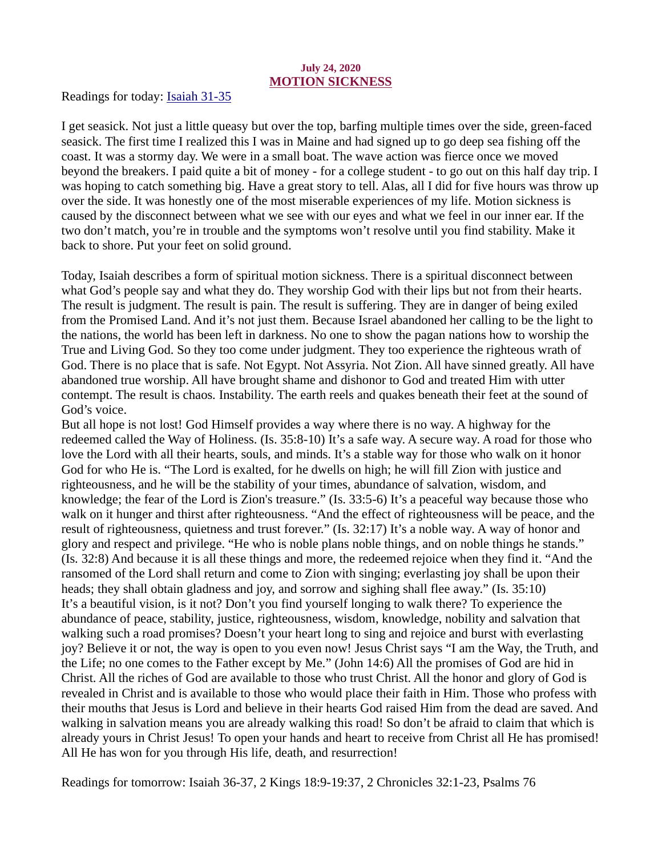## July 24, 2020 MOTION SICKNESS

<span id="page-32-0"></span>[Readings for today: Isaiah 31-35](https://www.biblegateway.com/passage/?search=Isaiah+31-35&version=ESV)

I get seasick. Not just a little queasy but over the top, barfing multiple times over the side, green-faced seasick. The first time I realized this I was in Maine and had signed up to go deep sea fishing off the coast. It was a stormy day. We were in a small boat. The wave action was fierce once we moved beyond the breakers. I paid quite a bit of money - for a college student - to go out on this half day trip. I was hoping to catch something big. Have a great story to tell. Alas, all I did for five hours was throw up over the side. It was honestly one of the most miserable experiences of my life. Motion sickness is caused by the disconnect between what we see with our eyes and what we feel in our inner ear. If the two don't match, you're in trouble and the symptoms won't resolve until you find stability. Make it back to shore. Put your feet on solid ground.

Today, Isaiah describes a form of spiritual motion sickness. There is a spiritual disconnect between what God's people say and what they do. They worship God with their lips but not from their hearts. The result is judgment. The result is pain. The result is suffering. They are in danger of being exiled from the Promised Land. And it's not just them. Because Israel abandoned her calling to be the light to the nations, the world has been left in darkness. No one to show the pagan nations how to worship the True and Living God. So they too come under judgment. They too experience the righteous wrath of God. There is no place that is safe. Not Egypt. Not Assyria. Not Zion. All have sinned greatly. All have abandoned true worship. All have brought shame and dishonor to God and treated Him with utter contempt. The result is chaos. Instability. The earth reels and quakes beneath their feet at the sound of God's voice.

But all hope is not lost! God Himself provides a way where there is no way. A highway for the redeemed called the Way of Holiness. (Is. 35:8-10) It's a safe way. A secure way. A road for those who love the Lord with all their hearts, souls, and minds. It's a stable way for those who walk on it honor God for who He is. "The Lord is exalted, for he dwells on high; he will fill Zion with justice and righteousness, and he will be the stability of your times, abundance of salvation, wisdom, and knowledge; the fear of the Lord is Zion's treasure." (Is. 33:5-6) It's a peaceful way because those who walk on it hunger and thirst after righteousness. "And the effect of righteousness will be peace, and the result of righteousness, quietness and trust forever." (Is. 32:17) It's a noble way. A way of honor and glory and respect and privilege. "He who is noble plans noble things, and on noble things he stands." (Is. 32:8) And because it is all these things and more, the redeemed rejoice when they find it. "And the ransomed of the Lord shall return and come to Zion with singing; everlasting joy shall be upon their heads; they shall obtain gladness and joy, and sorrow and sighing shall flee away." (Is. 35:10) It's a beautiful vision, is it not? Don't you find yourself longing to walk there? To experience the abundance of peace, stability, justice, righteousness, wisdom, knowledge, nobility and salvation that walking such a road promises? Doesn't your heart long to sing and rejoice and burst with everlasting joy? Believe it or not, the way is open to you even now! Jesus Christ says "I am the Way, the Truth, and the Life; no one comes to the Father except by Me." (John 14:6) All the promises of God are hid in Christ. All the riches of God are available to those who trust Christ. All the honor and glory of God is revealed in Christ and is available to those who would place their faith in Him. Those who profess with their mouths that Jesus is Lord and believe in their hearts God raised Him from the dead are saved. And walking in salvation means you are already walking this road! So don't be afraid to claim that which is already yours in Christ Jesus! To open your hands and heart to receive from Christ all He has promised! All He has won for you through His life, death, and resurrection!

Readings for tomorrow: Isaiah 36-37, 2 Kings 18:9-19:37, 2 Chronicles 32:1-23, Psalms 76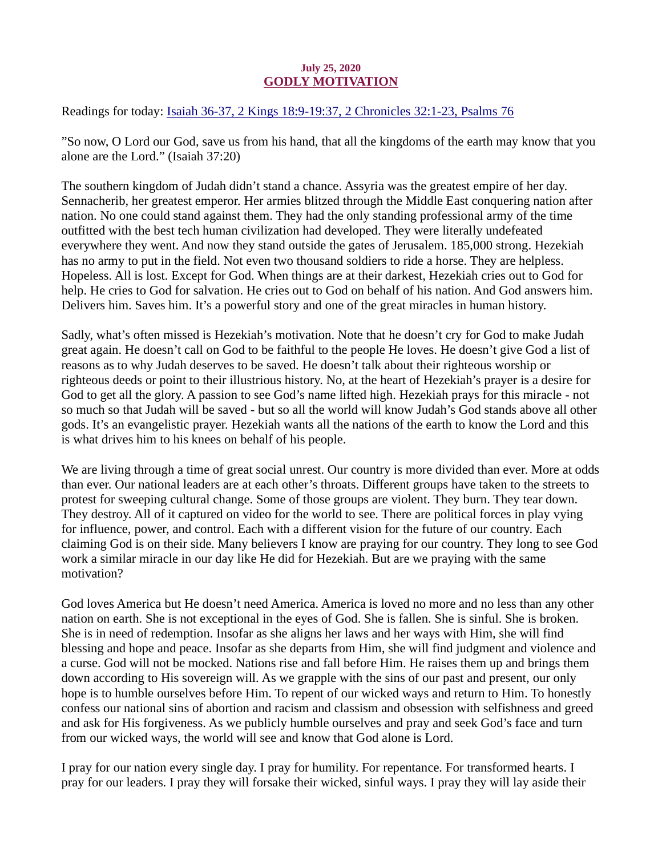## July 25, 2020 GODLY MOTIVATION

<span id="page-33-0"></span>[Readings for today: Isaiah 36-37, 2 Kings 18:9-19:37, 2 Chronicles 32:1-23, Psalms 76](https://www.biblegateway.com/passage/?search=Isaiah+36-37%2C+2+Kings+18%3A9-19%3A37%2C+2+Chronicles+32%3A1-23%2C+Psalms+76&version=ESV)

"So now, O Lord our God, save us from his hand, that all the kingdoms of the earth may know that you alone are the Lord." (Isaiah 37:20)

The southern kingdom of Judah didn't stand a chance. Assyria was the greatest empire of her day. Sennacherib, her greatest emperor. Her armies blitzed through the Middle East conquering nation after nation. No one could stand against them. They had the only standing professional army of the time outfitted with the best tech human civilization had developed. They were literally undefeated everywhere they went. And now they stand outside the gates of Jerusalem. 185,000 strong. Hezekiah has no army to put in the field. Not even two thousand soldiers to ride a horse. They are helpless. Hopeless. All is lost. Except for God. When things are at their darkest, Hezekiah cries out to God for help. He cries to God for salvation. He cries out to God on behalf of his nation. And God answers him. Delivers him. Saves him. It's a powerful story and one of the great miracles in human history.

Sadly, what's often missed is Hezekiah's motivation. Note that he doesn't cry for God to make Judah great again. He doesn't call on God to be faithful to the people He loves. He doesn't give God a list of reasons as to why Judah deserves to be saved. He doesn't talk about their righteous worship or righteous deeds or point to their illustrious history. No, at the heart of Hezekiah's prayer is a desire for God to get all the glory. A passion to see God's name lifted high. Hezekiah prays for this miracle - not so much so that Judah will be saved - but so all the world will know Judah's God stands above all other gods. It's an evangelistic prayer. Hezekiah wants all the nations of the earth to know the Lord and this is what drives him to his knees on behalf of his people.

We are living through a time of great social unrest. Our country is more divided than ever. More at odds than ever. Our national leaders are at each other's throats. Different groups have taken to the streets to protest for sweeping cultural change. Some of those groups are violent. They burn. They tear down. They destroy. All of it captured on video for the world to see. There are political forces in play vying for influence, power, and control. Each with a different vision for the future of our country. Each claiming God is on their side. Many believers I know are praying for our country. They long to see God work a similar miracle in our day like He did for Hezekiah. But are we praying with the same motivation?

God loves America but He doesn't need America. America is loved no more and no less than any other nation on earth. She is not exceptional in the eyes of God. She is fallen. She is sinful. She is broken. She is in need of redemption. Insofar as she aligns her laws and her ways with Him, she will find blessing and hope and peace. Insofar as she departs from Him, she will find judgment and violence and a curse. God will not be mocked. Nations rise and fall before Him. He raises them up and brings them down according to His sovereign will. As we grapple with the sins of our past and present, our only hope is to humble ourselves before Him. To repent of our wicked ways and return to Him. To honestly confess our national sins of abortion and racism and classism and obsession with selfishness and greed and ask for His forgiveness. As we publicly humble ourselves and pray and seek God's face and turn from our wicked ways, the world will see and know that God alone is Lord.

I pray for our nation every single day. I pray for humility. For repentance. For transformed hearts. I pray for our leaders. I pray they will forsake their wicked, sinful ways. I pray they will lay aside their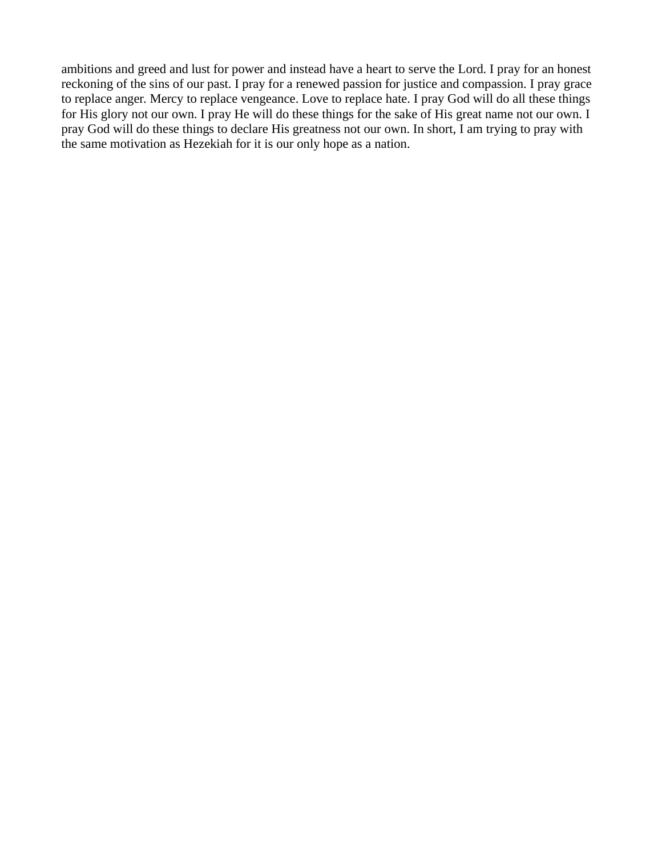ambitions and greed and lust for power and instead have a heart to serve the Lord. I pray for an honest reckoning of the sins of our past. I pray for a renewed passion for justice and compassion. I pray grace to replace anger. Mercy to replace vengeance. Love to replace hate. I pray God will do all these things for His glory not our own. I pray He will do these things for the sake of His great name not our own. I pray God will do these things to declare His greatness not our own. In short, I am trying to pray with the same motivation as Hezekiah for it is our only hope as a nation.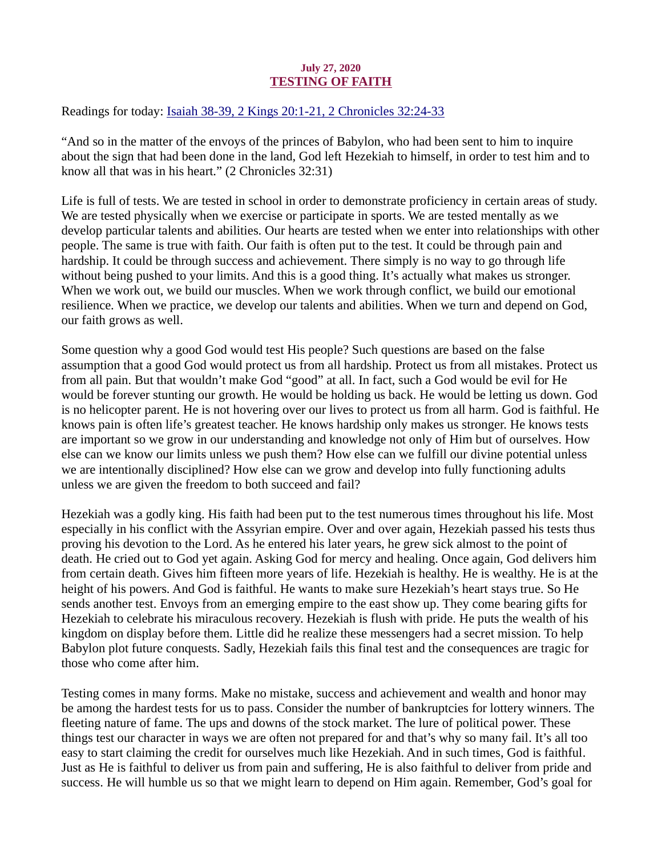## July 27, 2020 TESTING OF FAITH

<span id="page-35-0"></span>[Readings for today: Isaiah 38-39, 2 Kings 20:1-21, 2 Chronicles 32:24-33](https://www.biblegateway.com/passage/?search=Isaiah+38-39%2C+2+Kings+20%3A1-21%2C+2+Chronicles+32%3A24-33&version=ESV)

"And so in the matter of the envoys of the princes of Babylon, who had been sent to him to inquire about the sign that had been done in the land, God left Hezekiah to himself, in order to test him and to know all that was in his heart." (2 Chronicles 32:31)

Life is full of tests. We are tested in school in order to demonstrate proficiency in certain areas of study. We are tested physically when we exercise or participate in sports. We are tested mentally as we develop particular talents and abilities. Our hearts are tested when we enter into relationships with other people. The same is true with faith. Our faith is often put to the test. It could be through pain and hardship. It could be through success and achievement. There simply is no way to go through life without being pushed to your limits. And this is a good thing. It's actually what makes us stronger. When we work out, we build our muscles. When we work through conflict, we build our emotional resilience. When we practice, we develop our talents and abilities. When we turn and depend on God, our faith grows as well.

Some question why a good God would test His people? Such questions are based on the false assumption that a good God would protect us from all hardship. Protect us from all mistakes. Protect us from all pain. But that wouldn't make God "good" at all. In fact, such a God would be evil for He would be forever stunting our growth. He would be holding us back. He would be letting us down. God is no helicopter parent. He is not hovering over our lives to protect us from all harm. God is faithful. He knows pain is often life's greatest teacher. He knows hardship only makes us stronger. He knows tests are important so we grow in our understanding and knowledge not only of Him but of ourselves. How else can we know our limits unless we push them? How else can we fulfill our divine potential unless we are intentionally disciplined? How else can we grow and develop into fully functioning adults unless we are given the freedom to both succeed and fail?

Hezekiah was a godly king. His faith had been put to the test numerous times throughout his life. Most especially in his conflict with the Assyrian empire. Over and over again, Hezekiah passed his tests thus proving his devotion to the Lord. As he entered his later years, he grew sick almost to the point of death. He cried out to God yet again. Asking God for mercy and healing. Once again, God delivers him from certain death. Gives him fifteen more years of life. Hezekiah is healthy. He is wealthy. He is at the height of his powers. And God is faithful. He wants to make sure Hezekiah's heart stays true. So He sends another test. Envoys from an emerging empire to the east show up. They come bearing gifts for Hezekiah to celebrate his miraculous recovery. Hezekiah is flush with pride. He puts the wealth of his kingdom on display before them. Little did he realize these messengers had a secret mission. To help Babylon plot future conquests. Sadly, Hezekiah fails this final test and the consequences are tragic for those who come after him.

Testing comes in many forms. Make no mistake, success and achievement and wealth and honor may be among the hardest tests for us to pass. Consider the number of bankruptcies for lottery winners. The fleeting nature of fame. The ups and downs of the stock market. The lure of political power. These things test our character in ways we are often not prepared for and that's why so many fail. It's all too easy to start claiming the credit for ourselves much like Hezekiah. And in such times, God is faithful. Just as He is faithful to deliver us from pain and suffering, He is also faithful to deliver from pride and success. He will humble us so that we might learn to depend on Him again. Remember, God's goal for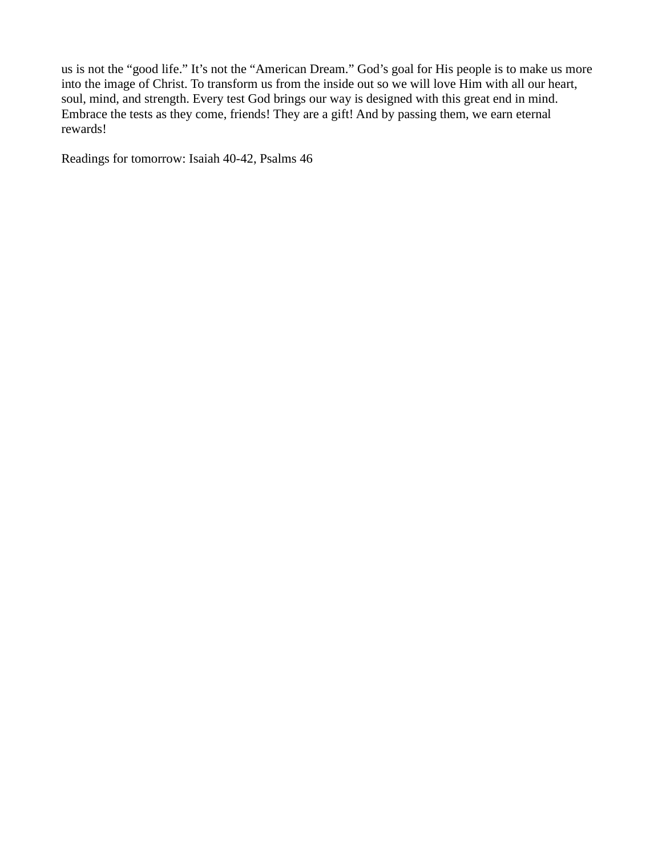us is not the "good life." It's not the "American Dream." God's goal for His people is to make us more into the image of Christ. To transform us from the inside out so we will love Him with all our heart, soul, mind, and strength. Every test God brings our way is designed with this great end in mind. Embrace the tests as they come, friends! They are a gift! And by passing them, we earn eternal rewards!

Readings for tomorrow: Isaiah 40-42, Psalms 46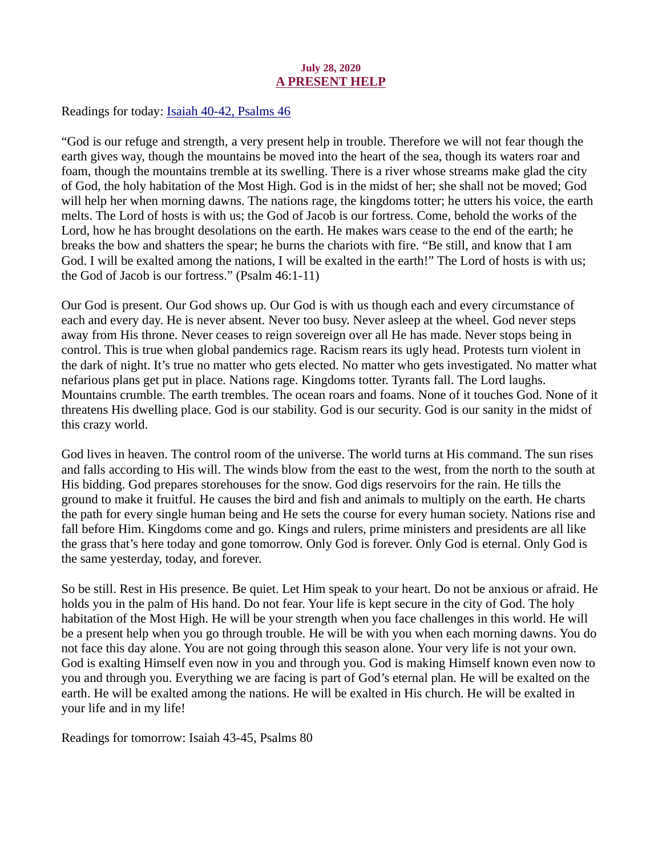## July 28, 2020 A PRESENT HELP

<span id="page-37-0"></span>[Readings for today: Isaiah 40-42, Psalms 46](https://www.biblegateway.com/passage/?search=Isaiah+40-42%2C+Psalms+46&version=ESV)

"God is our refuge and strength, a very present help in trouble. Therefore we will not fear though the earth gives way, though the mountains be moved into the heart of the sea, though its waters roar and foam, though the mountains tremble at its swelling. There is a river whose streams make glad the city of God, the holy habitation of the Most High. God is in the midst of her; she shall not be moved; God will help her when morning dawns. The nations rage, the kingdoms totter; he utters his voice, the earth melts. The Lord of hosts is with us; the God of Jacob is our fortress. Come, behold the works of the Lord, how he has brought desolations on the earth. He makes wars cease to the end of the earth; he breaks the bow and shatters the spear; he burns the chariots with fire. "Be still, and know that I am God. I will be exalted among the nations, I will be exalted in the earth!" The Lord of hosts is with us; the God of Jacob is our fortress." (Psalm 46:1-11)

Our God is present. Our God shows up. Our God is with us though each and every circumstance of each and every day. He is never absent. Never too busy. Never asleep at the wheel. God never steps away from His throne. Never ceases to reign sovereign over all He has made. Never stops being in control. This is true when global pandemics rage. Racism rears its ugly head. Protests turn violent in the dark of night. It's true no matter who gets elected. No matter who gets investigated. No matter what nefarious plans get put in place. Nations rage. Kingdoms totter. Tyrants fall. The Lord laughs. Mountains crumble. The earth trembles. The ocean roars and foams. None of it touches God. None of it threatens His dwelling place. God is our stability. God is our security. God is our sanity in the midst of this crazy world.

God lives in heaven. The control room of the universe. The world turns at His command. The sun rises and falls according to His will. The winds blow from the east to the west, from the north to the south at His bidding. God prepares storehouses for the snow. God digs reservoirs for the rain. He tills the ground to make it fruitful. He causes the bird and fish and animals to multiply on the earth. He charts the path for every single human being and He sets the course for every human society. Nations rise and fall before Him. Kingdoms come and go. Kings and rulers, prime ministers and presidents are all like the grass that's here today and gone tomorrow. Only God is forever. Only God is eternal. Only God is the same yesterday, today, and forever.

So be still. Rest in His presence. Be quiet. Let Him speak to your heart. Do not be anxious or afraid. He holds you in the palm of His hand. Do not fear. Your life is kept secure in the city of God. The holy habitation of the Most High. He will be your strength when you face challenges in this world. He will be a present help when you go through trouble. He will be with you when each morning dawns. You do not face this day alone. You are not going through this season alone. Your very life is not your own. God is exalting Himself even now in you and through you. God is making Himself known even now to you and through you. Everything we are facing is part of God's eternal plan. He will be exalted on the earth. He will be exalted among the nations. He will be exalted in His church. He will be exalted in your life and in my life!

Readings for tomorrow: Isaiah 43-45, Psalms 80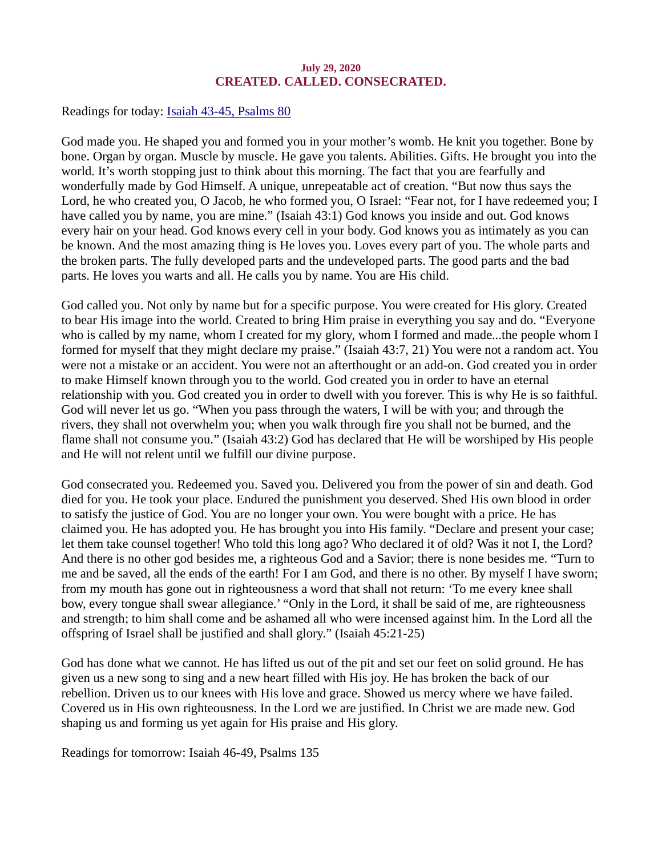## July 29, 2020 CREATED. CALLED. CONSECRATED.

<span id="page-38-0"></span>[Readings for today: Isaiah 43-45, Psalms 80](https://www.biblegateway.com/passage/?search=Isaiah+43-45%2C+Psalms+80&version=ESV)

God made you. He shaped you and formed you in your mother's womb. He knit you together. Bone by bone. Organ by organ. Muscle by muscle. He gave you talents. Abilities. Gifts. He brought you into the world. It's worth stopping just to think about this morning. The fact that you are fearfully and wonderfully made by God Himself. A unique, unrepeatable act of creation. "But now thus says the Lord, he who created you, O Jacob, he who formed you, O Israel: "Fear not, for I have redeemed you; I have called you by name, you are mine." (Isaiah 43:1) God knows you inside and out. God knows every hair on your head. God knows every cell in your body. God knows you as intimately as you can be known. And the most amazing thing is He loves you. Loves every part of you. The whole parts and the broken parts. The fully developed parts and the undeveloped parts. The good parts and the bad parts. He loves you warts and all. He calls you by name. You are His child.

God called you. Not only by name but for a specific purpose. You were created for His glory. Created to bear His image into the world. Created to bring Him praise in everything you say and do. "Everyone who is called by my name, whom I created for my glory, whom I formed and made...the people whom I formed for myself that they might declare my praise." (Isaiah 43:7, 21) You were not a random act. You were not a mistake or an accident. You were not an afterthought or an add-on. God created you in order to make Himself known through you to the world. God created you in order to have an eternal relationship with you. God created you in order to dwell with you forever. This is why He is so faithful. God will never let us go. "When you pass through the waters, I will be with you; and through the rivers, they shall not overwhelm you; when you walk through fire you shall not be burned, and the flame shall not consume you." (Isaiah 43:2) God has declared that He will be worshiped by His people and He will not relent until we fulfill our divine purpose.

God consecrated you. Redeemed you. Saved you. Delivered you from the power of sin and death. God died for you. He took your place. Endured the punishment you deserved. Shed His own blood in order to satisfy the justice of God. You are no longer your own. You were bought with a price. He has claimed you. He has adopted you. He has brought you into His family. "Declare and present your case; let them take counsel together! Who told this long ago? Who declared it of old? Was it not I, the Lord? And there is no other god besides me, a righteous God and a Savior; there is none besides me. "Turn to me and be saved, all the ends of the earth! For I am God, and there is no other. By myself I have sworn; from my mouth has gone out in righteousness a word that shall not return: 'To me every knee shall bow, every tongue shall swear allegiance.' "Only in the Lord, it shall be said of me, are righteousness and strength; to him shall come and be ashamed all who were incensed against him. In the Lord all the offspring of Israel shall be justified and shall glory." (Isaiah 45:21-25)

God has done what we cannot. He has lifted us out of the pit and set our feet on solid ground. He has given us a new song to sing and a new heart filled with His joy. He has broken the back of our rebellion. Driven us to our knees with His love and grace. Showed us mercy where we have failed. Covered us in His own righteousness. In the Lord we are justified. In Christ we are made new. God shaping us and forming us yet again for His praise and His glory.

Readings for tomorrow: Isaiah 46-49, Psalms 135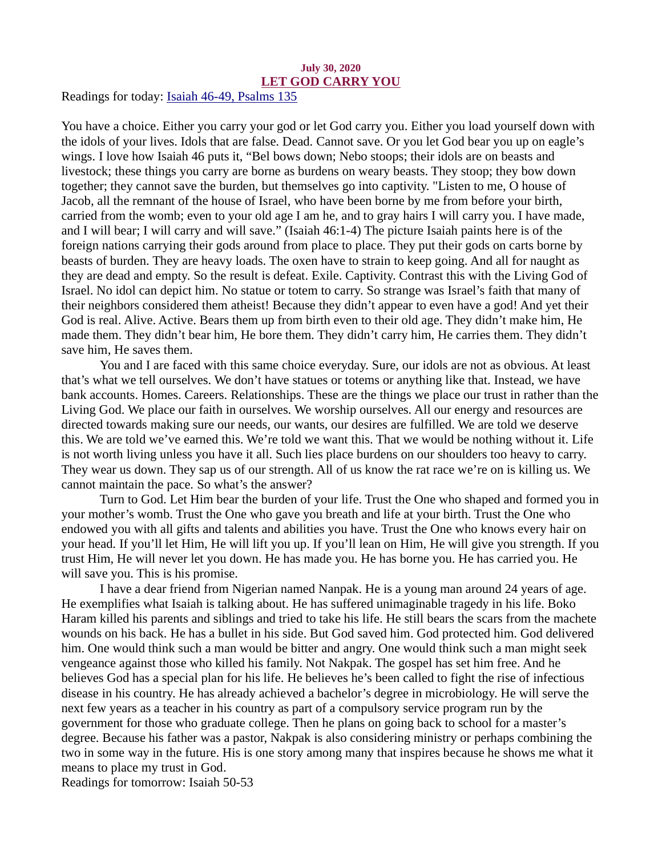#### July 30, 2020 LET GOD CARRY YOU

<span id="page-39-0"></span>[Readings for today: Isaiah 46-49, Psalms 135](https://www.biblegateway.com/passage/?search=Isaiah+46-49%2C+Psalms+135&version=ESV)

You have a choice. Either you carry your god or let God carry you. Either you load yourself down with the idols of your lives. Idols that are false. Dead. Cannot save. Or you let God bear you up on eagle's wings. I love how Isaiah 46 puts it, "Bel bows down; Nebo stoops; their idols are on beasts and livestock; these things you carry are borne as burdens on weary beasts. They stoop; they bow down together; they cannot save the burden, but themselves go into captivity. "Listen to me, O house of Jacob, all the remnant of the house of Israel, who have been borne by me from before your birth, carried from the womb; even to your old age I am he, and to gray hairs I will carry you. I have made, and I will bear; I will carry and will save." (Isaiah 46:1-4) The picture Isaiah paints here is of the foreign nations carrying their gods around from place to place. They put their gods on carts borne by beasts of burden. They are heavy loads. The oxen have to strain to keep going. And all for naught as they are dead and empty. So the result is defeat. Exile. Captivity. Contrast this with the Living God of Israel. No idol can depict him. No statue or totem to carry. So strange was Israel's faith that many of their neighbors considered them atheist! Because they didn't appear to even have a god! And yet their God is real. Alive. Active. Bears them up from birth even to their old age. They didn't make him, He made them. They didn't bear him, He bore them. They didn't carry him, He carries them. They didn't save him, He saves them.

You and I are faced with this same choice everyday. Sure, our idols are not as obvious. At least that's what we tell ourselves. We don't have statues or totems or anything like that. Instead, we have bank accounts. Homes. Careers. Relationships. These are the things we place our trust in rather than the Living God. We place our faith in ourselves. We worship ourselves. All our energy and resources are directed towards making sure our needs, our wants, our desires are fulfilled. We are told we deserve this. We are told we've earned this. We're told we want this. That we would be nothing without it. Life is not worth living unless you have it all. Such lies place burdens on our shoulders too heavy to carry. They wear us down. They sap us of our strength. All of us know the rat race we're on is killing us. We cannot maintain the pace. So what's the answer?

Turn to God. Let Him bear the burden of your life. Trust the One who shaped and formed you in your mother's womb. Trust the One who gave you breath and life at your birth. Trust the One who endowed you with all gifts and talents and abilities you have. Trust the One who knows every hair on your head. If you'll let Him, He will lift you up. If you'll lean on Him, He will give you strength. If you trust Him, He will never let you down. He has made you. He has borne you. He has carried you. He will save you. This is his promise.

I have a dear friend from Nigerian named Nanpak. He is a young man around 24 years of age. He exemplifies what Isaiah is talking about. He has suffered unimaginable tragedy in his life. Boko Haram killed his parents and siblings and tried to take his life. He still bears the scars from the machete wounds on his back. He has a bullet in his side. But God saved him. God protected him. God delivered him. One would think such a man would be bitter and angry. One would think such a man might seek vengeance against those who killed his family. Not Nakpak. The gospel has set him free. And he believes God has a special plan for his life. He believes he's been called to fight the rise of infectious disease in his country. He has already achieved a bachelor's degree in microbiology. He will serve the next few years as a teacher in his country as part of a compulsory service program run by the government for those who graduate college. Then he plans on going back to school for a master's degree. Because his father was a pastor, Nakpak is also considering ministry or perhaps combining the two in some way in the future. His is one story among many that inspires because he shows me what it means to place my trust in God.

Readings for tomorrow: Isaiah 50-53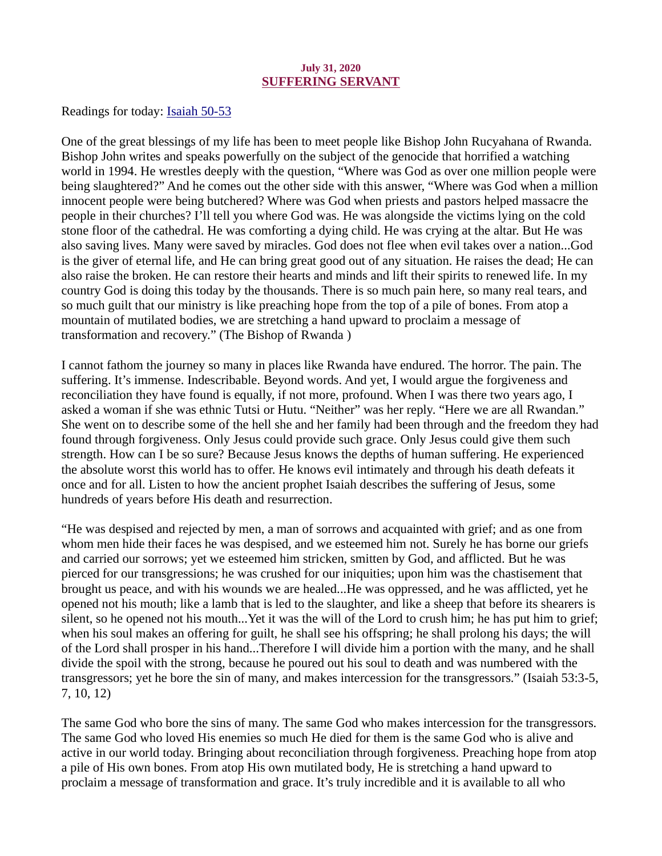### July 31, 2020 SUFFERING SERVANT

<span id="page-40-0"></span>[Readings for today: Isaiah 50-53](https://www.biblegateway.com/passage/?search=Isaiah+50-53&version=ESV)

One of the great blessings of my life has been to meet people like Bishop John Rucyahana of Rwanda. Bishop John writes and speaks powerfully on the subject of the genocide that horrified a watching world in 1994. He wrestles deeply with the question, "Where was God as over one million people were being slaughtered?" And he comes out the other side with this answer, "Where was God when a million innocent people were being butchered? Where was God when priests and pastors helped massacre the people in their churches? I'll tell you where God was. He was alongside the victims lying on the cold stone floor of the cathedral. He was comforting a dying child. He was crying at the altar. But He was also saving lives. Many were saved by miracles. God does not flee when evil takes over a nation...God is the giver of eternal life, and He can bring great good out of any situation. He raises the dead; He can also raise the broken. He can restore their hearts and minds and lift their spirits to renewed life. In my country God is doing this today by the thousands. There is so much pain here, so many real tears, and so much guilt that our ministry is like preaching hope from the top of a pile of bones. From atop a mountain of mutilated bodies, we are stretching a hand upward to proclaim a message of transformation and recovery." (The Bishop of Rwanda )

I cannot fathom the journey so many in places like Rwanda have endured. The horror. The pain. The suffering. It's immense. Indescribable. Beyond words. And yet, I would argue the forgiveness and reconciliation they have found is equally, if not more, profound. When I was there two years ago, I asked a woman if she was ethnic Tutsi or Hutu. "Neither" was her reply. "Here we are all Rwandan." She went on to describe some of the hell she and her family had been through and the freedom they had found through forgiveness. Only Jesus could provide such grace. Only Jesus could give them such strength. How can I be so sure? Because Jesus knows the depths of human suffering. He experienced the absolute worst this world has to offer. He knows evil intimately and through his death defeats it once and for all. Listen to how the ancient prophet Isaiah describes the suffering of Jesus, some hundreds of years before His death and resurrection.

"He was despised and rejected by men, a man of sorrows and acquainted with grief; and as one from whom men hide their faces he was despised, and we esteemed him not. Surely he has borne our griefs and carried our sorrows; yet we esteemed him stricken, smitten by God, and afflicted. But he was pierced for our transgressions; he was crushed for our iniquities; upon him was the chastisement that brought us peace, and with his wounds we are healed...He was oppressed, and he was afflicted, yet he opened not his mouth; like a lamb that is led to the slaughter, and like a sheep that before its shearers is silent, so he opened not his mouth...Yet it was the will of the Lord to crush him; he has put him to grief; when his soul makes an offering for guilt, he shall see his offspring; he shall prolong his days; the will of the Lord shall prosper in his hand...Therefore I will divide him a portion with the many, and he shall divide the spoil with the strong, because he poured out his soul to death and was numbered with the transgressors; yet he bore the sin of many, and makes intercession for the transgressors." (Isaiah 53:3-5, 7, 10, 12)

The same God who bore the sins of many. The same God who makes intercession for the transgressors. The same God who loved His enemies so much He died for them is the same God who is alive and active in our world today. Bringing about reconciliation through forgiveness. Preaching hope from atop a pile of His own bones. From atop His own mutilated body, He is stretching a hand upward to proclaim a message of transformation and grace. It's truly incredible and it is available to all who